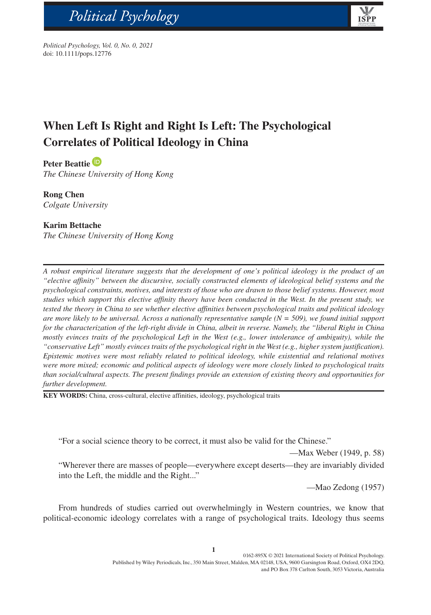

*Political Psychology, Vol. 0, No. 0, 2021* doi: 10.1111/pops.12776

# **When Left Is Right and Right Is Left: The Psychological Correlates of Political Ideology in China**

## **Peter Beattie**

bs\_bs\_banner

*The Chinese University of Hong Kong*

**Rong Chen** *Colgate University*

## **Karim Bettache**

*The Chinese University of Hong Kong*

*A robust empirical literature suggests that the development of one's political ideology is the product of an "elective affinity" between the discursive, socially constructed elements of ideological belief systems and the psychological constraints, motives, and interests of those who are drawn to those belief systems. However, most studies which support this elective affinity theory have been conducted in the West. In the present study, we tested the theory in China to see whether elective affinities between psychological traits and political ideology are more likely to be universal. Across a nationally representative sample (N = 509), we found initial support for the characterization of the left-right divide in China, albeit in reverse. Namely, the "liberal Right in China mostly evinces traits of the psychological Left in the West (e.g., lower intolerance of ambiguity), while the "conservative Left" mostly evinces traits of the psychological right in the West (e.g., higher system justification). Epistemic motives were most reliably related to political ideology, while existential and relational motives were more mixed; economic and political aspects of ideology were more closely linked to psychological traits than social/cultural aspects. The present findings provide an extension of existing theory and opportunities for further development.*

**KEY WORDS:** China, cross-cultural, elective affinities, ideology, psychological traits

"For a social science theory to be correct, it must also be valid for the Chinese."

—Max Weber (1949, p. 58) "Wherever there are masses of people—everywhere except deserts—they are invariably divided into the Left, the middle and the Right..."

—Mao Zedong (1957)

From hundreds of studies carried out overwhelmingly in Western countries, we know that political-economic ideology correlates with a range of psychological traits. Ideology thus seems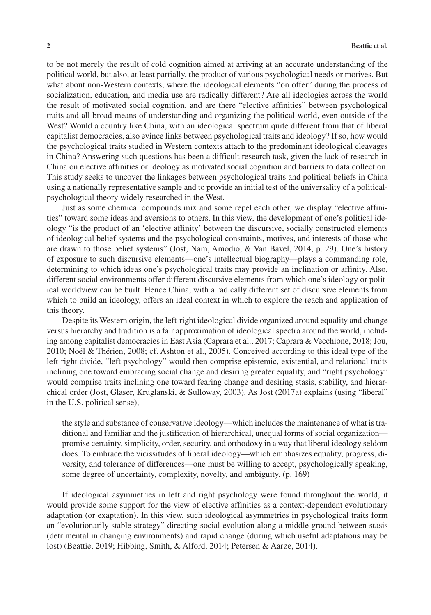to be not merely the result of cold cognition aimed at arriving at an accurate understanding of the political world, but also, at least partially, the product of various psychological needs or motives. But what about non-Western contexts, where the ideological elements "on offer" during the process of socialization, education, and media use are radically different? Are all ideologies across the world the result of motivated social cognition, and are there "elective affinities" between psychological traits and all broad means of understanding and organizing the political world, even outside of the West? Would a country like China, with an ideological spectrum quite different from that of liberal capitalist democracies, also evince links between psychological traits and ideology? If so, how would the psychological traits studied in Western contexts attach to the predominant ideological cleavages in China? Answering such questions has been a difficult research task, given the lack of research in China on elective affinities or ideology as motivated social cognition and barriers to data collection. This study seeks to uncover the linkages between psychological traits and political beliefs in China using a nationally representative sample and to provide an initial test of the universality of a politicalpsychological theory widely researched in the West.

Just as some chemical compounds mix and some repel each other, we display "elective affinities" toward some ideas and aversions to others. In this view, the development of one's political ideology "is the product of an 'elective affinity' between the discursive, socially constructed elements of ideological belief systems and the psychological constraints, motives, and interests of those who are drawn to those belief systems" (Jost, Nam, Amodio, & Van Bavel, 2014, p. 29). One's history of exposure to such discursive elements—one's intellectual biography—plays a commanding role, determining to which ideas one's psychological traits may provide an inclination or affinity. Also, different social environments offer different discursive elements from which one's ideology or political worldview can be built. Hence China, with a radically different set of discursive elements from which to build an ideology, offers an ideal context in which to explore the reach and application of this theory.

Despite its Western origin, the left-right ideological divide organized around equality and change versus hierarchy and tradition is a fair approximation of ideological spectra around the world, including among capitalist democracies in East Asia (Caprara et al., 2017; Caprara & Vecchione, 2018; Jou, 2010; Noël & Thérien, 2008; cf. Ashton et al., 2005). Conceived according to this ideal type of the left-right divide, "left psychology" would then comprise epistemic, existential, and relational traits inclining one toward embracing social change and desiring greater equality, and "right psychology" would comprise traits inclining one toward fearing change and desiring stasis, stability, and hierarchical order (Jost, Glaser, Kruglanski, & Sulloway, 2003). As Jost (2017a) explains (using "liberal" in the U.S. political sense),

the style and substance of conservative ideology—which includes the maintenance of what is traditional and familiar and the justification of hierarchical, unequal forms of social organization promise certainty, simplicity, order, security, and orthodoxy in a way that liberal ideology seldom does. To embrace the vicissitudes of liberal ideology—which emphasizes equality, progress, diversity, and tolerance of differences—one must be willing to accept, psychologically speaking, some degree of uncertainty, complexity, novelty, and ambiguity. (p. 169)

If ideological asymmetries in left and right psychology were found throughout the world, it would provide some support for the view of elective affinities as a context-dependent evolutionary adaptation (or exaptation). In this view, such ideological asymmetries in psychological traits form an "evolutionarily stable strategy" directing social evolution along a middle ground between stasis (detrimental in changing environments) and rapid change (during which useful adaptations may be lost) (Beattie, 2019; Hibbing, Smith, & Alford, 2014; Petersen & Aarøe, 2014).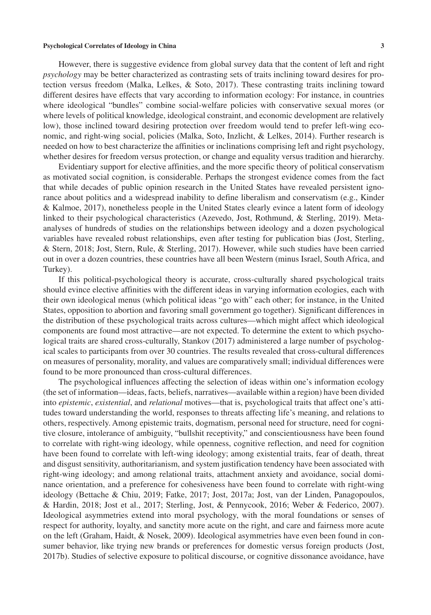However, there is suggestive evidence from global survey data that the content of left and right *psychology* may be better characterized as contrasting sets of traits inclining toward desires for protection versus freedom (Malka, Lelkes, & Soto, 2017). These contrasting traits inclining toward different desires have effects that vary according to information ecology: For instance, in countries where ideological "bundles" combine social-welfare policies with conservative sexual mores (or where levels of political knowledge, ideological constraint, and economic development are relatively low), those inclined toward desiring protection over freedom would tend to prefer left-wing economic, and right-wing social, policies (Malka, Soto, Inzlicht, & Lelkes, 2014). Further research is needed on how to best characterize the affinities or inclinations comprising left and right psychology, whether desires for freedom versus protection, or change and equality versus tradition and hierarchy.

Evidentiary support for elective affinities, and the more specific theory of political conservatism as motivated social cognition, is considerable. Perhaps the strongest evidence comes from the fact that while decades of public opinion research in the United States have revealed persistent ignorance about politics and a widespread inability to define liberalism and conservatism (e.g., Kinder & Kalmoe, 2017), nonetheless people in the United States clearly evince a latent form of ideology linked to their psychological characteristics (Azevedo, Jost, Rothmund, & Sterling, 2019). Metaanalyses of hundreds of studies on the relationships between ideology and a dozen psychological variables have revealed robust relationships, even after testing for publication bias (Jost, Sterling, & Stern, 2018; Jost, Stern, Rule, & Sterling, 2017). However, while such studies have been carried out in over a dozen countries, these countries have all been Western (minus Israel, South Africa, and Turkey).

If this political-psychological theory is accurate, cross-culturally shared psychological traits should evince elective affinities with the different ideas in varying information ecologies, each with their own ideological menus (which political ideas "go with" each other; for instance, in the United States, opposition to abortion and favoring small government go together). Significant differences in the distribution of these psychological traits across cultures—which might affect which ideological components are found most attractive—are not expected. To determine the extent to which psychological traits are shared cross-culturally, Stankov (2017) administered a large number of psychological scales to participants from over 30 countries. The results revealed that cross-cultural differences on measures of personality, morality, and values are comparatively small; individual differences were found to be more pronounced than cross-cultural differences.

The psychological influences affecting the selection of ideas within one's information ecology (the set of information—ideas, facts, beliefs, narratives—available within a region) have been divided into *epistemic*, *existential*, and *relational* motives—that is, psychological traits that affect one's attitudes toward understanding the world, responses to threats affecting life's meaning, and relations to others, respectively. Among epistemic traits, dogmatism, personal need for structure, need for cognitive closure, intolerance of ambiguity, "bullshit receptivity," and conscientiousness have been found to correlate with right-wing ideology, while openness, cognitive reflection, and need for cognition have been found to correlate with left-wing ideology; among existential traits, fear of death, threat and disgust sensitivity, authoritarianism, and system justification tendency have been associated with right-wing ideology; and among relational traits, attachment anxiety and avoidance, social dominance orientation, and a preference for cohesiveness have been found to correlate with right-wing ideology (Bettache & Chiu, 2019; Fatke, 2017; Jost, 2017a; Jost, van der Linden, Panagopoulos, & Hardin, 2018; Jost et al., 2017; Sterling, Jost, & Pennycook, 2016; Weber & Federico, 2007). Ideological asymmetries extend into moral psychology, with the moral foundations or senses of respect for authority, loyalty, and sanctity more acute on the right, and care and fairness more acute on the left (Graham, Haidt, & Nosek, 2009). Ideological asymmetries have even been found in consumer behavior, like trying new brands or preferences for domestic versus foreign products (Jost, 2017b). Studies of selective exposure to political discourse, or cognitive dissonance avoidance, have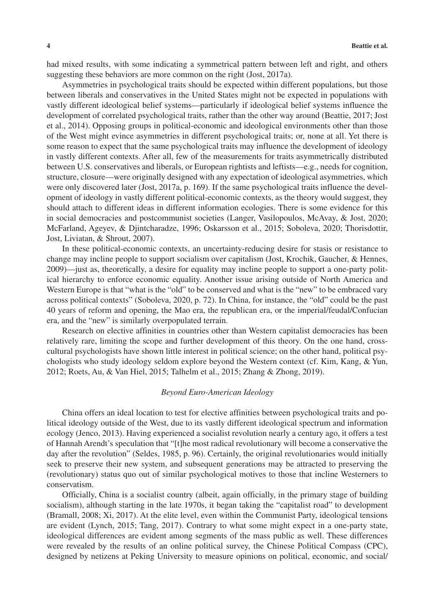had mixed results, with some indicating a symmetrical pattern between left and right, and others suggesting these behaviors are more common on the right (Jost, 2017a).

Asymmetries in psychological traits should be expected within different populations, but those between liberals and conservatives in the United States might not be expected in populations with vastly different ideological belief systems—particularly if ideological belief systems influence the development of correlated psychological traits, rather than the other way around (Beattie, 2017; Jost et al., 2014). Opposing groups in political-economic and ideological environments other than those of the West might evince asymmetries in different psychological traits; or, none at all. Yet there is some reason to expect that the same psychological traits may influence the development of ideology in vastly different contexts. After all, few of the measurements for traits asymmetrically distributed between U.S. conservatives and liberals, or European rightists and leftists—e.g., needs for cognition, structure, closure—were originally designed with any expectation of ideological asymmetries, which were only discovered later (Jost, 2017a, p. 169). If the same psychological traits influence the development of ideology in vastly different political-economic contexts, as the theory would suggest, they should attach to different ideas in different information ecologies. There is some evidence for this in social democracies and postcommunist societies (Langer, Vasilopoulos, McAvay, & Jost, 2020; McFarland, Ageyev, & Djintcharadze, 1996; Oskarsson et al., 2015; Soboleva, 2020; Thorisdottir, Jost, Liviatan, & Shrout, 2007).

In these political-economic contexts, an uncertainty-reducing desire for stasis or resistance to change may incline people to support socialism over capitalism (Jost, Krochik, Gaucher, & Hennes, 2009)—just as, theoretically, a desire for equality may incline people to support a one-party political hierarchy to enforce economic equality. Another issue arising outside of North America and Western Europe is that "what is the "old" to be conserved and what is the "new" to be embraced vary across political contexts" (Soboleva, 2020, p. 72). In China, for instance, the "old" could be the past 40 years of reform and opening, the Mao era, the republican era, or the imperial/feudal/Confucian era, and the "new" is similarly overpopulated terrain.

Research on elective affinities in countries other than Western capitalist democracies has been relatively rare, limiting the scope and further development of this theory. On the one hand, crosscultural psychologists have shown little interest in political science; on the other hand, political psychologists who study ideology seldom explore beyond the Western context (cf. Kim, Kang, & Yun, 2012; Roets, Au, & Van Hiel, 2015; Talhelm et al., 2015; Zhang & Zhong, 2019).

## *Beyond Euro-American Ideology*

China offers an ideal location to test for elective affinities between psychological traits and political ideology outside of the West, due to its vastly different ideological spectrum and information ecology (Jenco, 2013). Having experienced a socialist revolution nearly a century ago, it offers a test of Hannah Arendt's speculation that "[t]he most radical revolutionary will become a conservative the day after the revolution" (Seldes, 1985, p. 96). Certainly, the original revolutionaries would initially seek to preserve their new system, and subsequent generations may be attracted to preserving the (revolutionary) status quo out of similar psychological motives to those that incline Westerners to conservatism.

Officially, China is a socialist country (albeit, again officially, in the primary stage of building socialism), although starting in the late 1970s, it began taking the "capitalist road" to development (Bramall, 2008; Xi, 2017). At the elite level, even within the Communist Party, ideological tensions are evident (Lynch, 2015; Tang, 2017). Contrary to what some might expect in a one-party state, ideological differences are evident among segments of the mass public as well. These differences were revealed by the results of an online political survey, the Chinese Political Compass (CPC), designed by netizens at Peking University to measure opinions on political, economic, and social/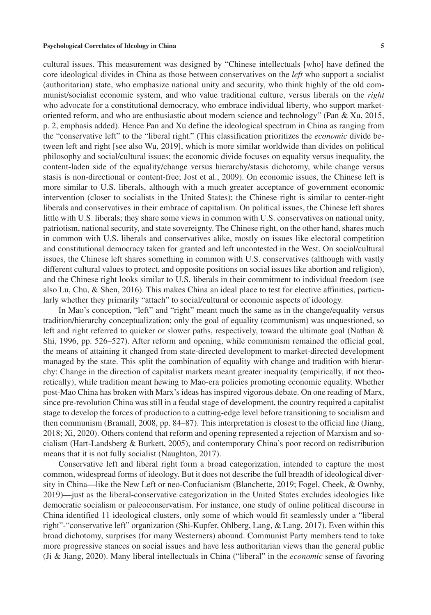cultural issues. This measurement was designed by "Chinese intellectuals [who] have defined the core ideological divides in China as those between conservatives on the *left* who support a socialist (authoritarian) state, who emphasize national unity and security, who think highly of the old communist/socialist economic system, and who value traditional culture, versus liberals on the *right* who advocate for a constitutional democracy, who embrace individual liberty, who support marketoriented reform, and who are enthusiastic about modern science and technology" (Pan & Xu, 2015, p. 2, emphasis added). Hence Pan and Xu define the ideological spectrum in China as ranging from the "conservative left" to the "liberal right." (This classification prioritizes the *economic* divide between left and right [see also Wu, 2019], which is more similar worldwide than divides on political philosophy and social/cultural issues; the economic divide focuses on equality versus inequality, the content-laden side of the equality/change versus hierarchy/stasis dichotomy, while change versus stasis is non-directional or content-free; Jost et al., 2009). On economic issues, the Chinese left is more similar to U.S. liberals, although with a much greater acceptance of government economic intervention (closer to socialists in the United States); the Chinese right is similar to center-right liberals and conservatives in their embrace of capitalism. On political issues, the Chinese left shares little with U.S. liberals; they share some views in common with U.S. conservatives on national unity, patriotism, national security, and state sovereignty. The Chinese right, on the other hand, shares much in common with U.S. liberals and conservatives alike, mostly on issues like electoral competition and constitutional democracy taken for granted and left uncontested in the West. On social/cultural issues, the Chinese left shares something in common with U.S. conservatives (although with vastly different cultural values to protect, and opposite positions on social issues like abortion and religion), and the Chinese right looks similar to U.S. liberals in their commitment to individual freedom (see also Lu, Chu, & Shen, 2016). This makes China an ideal place to test for elective affinities, particularly whether they primarily "attach" to social/cultural or economic aspects of ideology.

In Mao's conception, "left" and "right" meant much the same as in the change/equality versus tradition/hierarchy conceptualization; only the goal of equality (communism) was unquestioned, so left and right referred to quicker or slower paths, respectively, toward the ultimate goal (Nathan & Shi, 1996, pp. 526–527). After reform and opening, while communism remained the official goal, the means of attaining it changed from state-directed development to market-directed development managed by the state. This split the combination of equality with change and tradition with hierarchy: Change in the direction of capitalist markets meant greater inequality (empirically, if not theoretically), while tradition meant hewing to Mao-era policies promoting economic equality. Whether post-Mao China has broken with Marx's ideas has inspired vigorous debate. On one reading of Marx, since pre-revolution China was still in a feudal stage of development, the country required a capitalist stage to develop the forces of production to a cutting-edge level before transitioning to socialism and then communism (Bramall, 2008, pp. 84–87). This interpretation is closest to the official line (Jiang, 2018; Xi, 2020). Others contend that reform and opening represented a rejection of Marxism and socialism (Hart-Landsberg & Burkett, 2005), and contemporary China's poor record on redistribution means that it is not fully socialist (Naughton, 2017).

Conservative left and liberal right form a broad categorization, intended to capture the most common, widespread forms of ideology. But it does not describe the full breadth of ideological diversity in China—like the New Left or neo-Confucianism (Blanchette, 2019; Fogel, Cheek, & Ownby, 2019)—just as the liberal-conservative categorization in the United States excludes ideologies like democratic socialism or paleoconservatism. For instance, one study of online political discourse in China identified 11 ideological clusters, only some of which would fit seamlessly under a "liberal right"-"conservative left" organization (Shi-Kupfer, Ohlberg, Lang, & Lang, 2017). Even within this broad dichotomy, surprises (for many Westerners) abound. Communist Party members tend to take more progressive stances on social issues and have less authoritarian views than the general public (Ji & Jiang, 2020). Many liberal intellectuals in China ("liberal" in the *economic* sense of favoring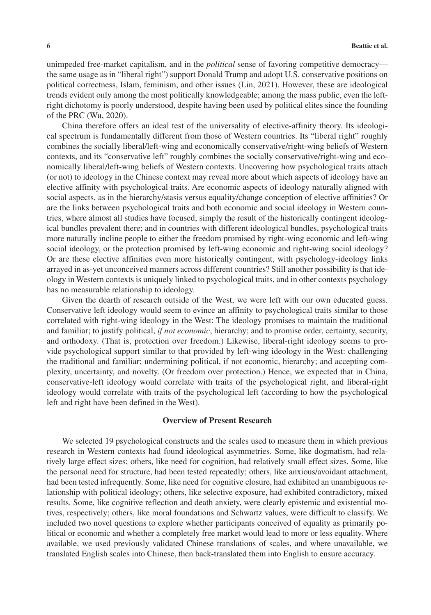unimpeded free-market capitalism, and in the *political* sense of favoring competitive democracy the same usage as in "liberal right") support Donald Trump and adopt U.S. conservative positions on political correctness, Islam, feminism, and other issues (Lin, 2021). However, these are ideological trends evident only among the most politically knowledgeable; among the mass public, even the leftright dichotomy is poorly understood, despite having been used by political elites since the founding of the PRC (Wu, 2020).

China therefore offers an ideal test of the universality of elective-affinity theory. Its ideological spectrum is fundamentally different from those of Western countries. Its "liberal right" roughly combines the socially liberal/left-wing and economically conservative/right-wing beliefs of Western contexts, and its "conservative left" roughly combines the socially conservative/right-wing and economically liberal/left-wing beliefs of Western contexts. Uncovering how psychological traits attach (or not) to ideology in the Chinese context may reveal more about which aspects of ideology have an elective affinity with psychological traits. Are economic aspects of ideology naturally aligned with social aspects, as in the hierarchy/stasis versus equality/change conception of elective affinities? Or are the links between psychological traits and both economic and social ideology in Western countries, where almost all studies have focused, simply the result of the historically contingent ideological bundles prevalent there; and in countries with different ideological bundles, psychological traits more naturally incline people to either the freedom promised by right-wing economic and left-wing social ideology, or the protection promised by left-wing economic and right-wing social ideology? Or are these elective affinities even more historically contingent, with psychology-ideology links arrayed in as-yet unconceived manners across different countries? Still another possibility is that ideology in Western contexts is uniquely linked to psychological traits, and in other contexts psychology has no measurable relationship to ideology.

Given the dearth of research outside of the West, we were left with our own educated guess. Conservative left ideology would seem to evince an affinity to psychological traits similar to those correlated with right-wing ideology in the West: The ideology promises to maintain the traditional and familiar; to justify political, *if not economic*, hierarchy; and to promise order, certainty, security, and orthodoxy. (That is, protection over freedom.) Likewise, liberal-right ideology seems to provide psychological support similar to that provided by left-wing ideology in the West: challenging the traditional and familiar; undermining political, if not economic, hierarchy; and accepting complexity, uncertainty, and novelty. (Or freedom over protection.) Hence, we expected that in China, conservative-left ideology would correlate with traits of the psychological right, and liberal-right ideology would correlate with traits of the psychological left (according to how the psychological left and right have been defined in the West).

## **Overview of Present Research**

We selected 19 psychological constructs and the scales used to measure them in which previous research in Western contexts had found ideological asymmetries. Some, like dogmatism, had relatively large effect sizes; others, like need for cognition, had relatively small effect sizes. Some, like the personal need for structure, had been tested repeatedly; others, like anxious/avoidant attachment, had been tested infrequently. Some, like need for cognitive closure, had exhibited an unambiguous relationship with political ideology; others, like selective exposure, had exhibited contradictory, mixed results. Some, like cognitive reflection and death anxiety, were clearly epistemic and existential motives, respectively; others, like moral foundations and Schwartz values, were difficult to classify. We included two novel questions to explore whether participants conceived of equality as primarily political or economic and whether a completely free market would lead to more or less equality. Where available, we used previously validated Chinese translations of scales, and where unavailable, we translated English scales into Chinese, then back-translated them into English to ensure accuracy.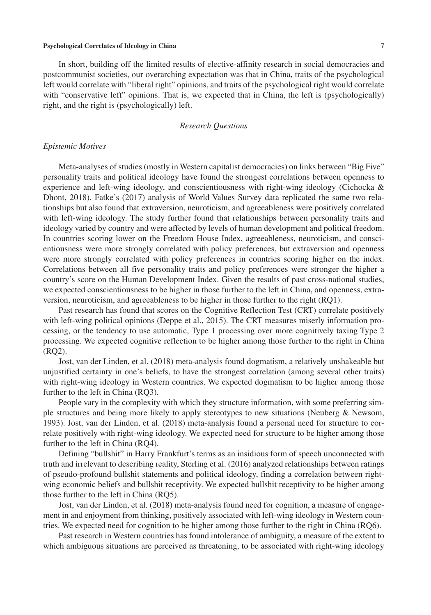In short, building off the limited results of elective-affinity research in social democracies and postcommunist societies, our overarching expectation was that in China, traits of the psychological left would correlate with "liberal right" opinions, and traits of the psychological right would correlate with "conservative left" opinions. That is, we expected that in China, the left is (psychologically) right, and the right is (psychologically) left.

## *Research Questions*

#### *Epistemic Motives*

Meta-analyses of studies (mostly in Western capitalist democracies) on links between "Big Five" personality traits and political ideology have found the strongest correlations between openness to experience and left-wing ideology, and conscientiousness with right-wing ideology (Cichocka & Dhont, 2018). Fatke's (2017) analysis of World Values Survey data replicated the same two relationships but also found that extraversion, neuroticism, and agreeableness were positively correlated with left-wing ideology. The study further found that relationships between personality traits and ideology varied by country and were affected by levels of human development and political freedom. In countries scoring lower on the Freedom House Index, agreeableness, neuroticism, and conscientiousness were more strongly correlated with policy preferences, but extraversion and openness were more strongly correlated with policy preferences in countries scoring higher on the index. Correlations between all five personality traits and policy preferences were stronger the higher a country's score on the Human Development Index. Given the results of past cross-national studies, we expected conscientiousness to be higher in those further to the left in China, and openness, extraversion, neuroticism, and agreeableness to be higher in those further to the right (RQ1).

Past research has found that scores on the Cognitive Reflection Test (CRT) correlate positively with left-wing political opinions (Deppe et al., 2015). The CRT measures miserly information processing, or the tendency to use automatic, Type 1 processing over more cognitively taxing Type 2 processing. We expected cognitive reflection to be higher among those further to the right in China (RQ2).

Jost, van der Linden, et al. (2018) meta-analysis found dogmatism, a relatively unshakeable but unjustified certainty in one's beliefs, to have the strongest correlation (among several other traits) with right-wing ideology in Western countries. We expected dogmatism to be higher among those further to the left in China (RQ3).

People vary in the complexity with which they structure information, with some preferring simple structures and being more likely to apply stereotypes to new situations (Neuberg & Newsom, 1993). Jost, van der Linden, et al. (2018) meta-analysis found a personal need for structure to correlate positively with right-wing ideology. We expected need for structure to be higher among those further to the left in China (RQ4).

Defining "bullshit" in Harry Frankfurt's terms as an insidious form of speech unconnected with truth and irrelevant to describing reality, Sterling et al. (2016) analyzed relationships between ratings of pseudo-profound bullshit statements and political ideology, finding a correlation between rightwing economic beliefs and bullshit receptivity. We expected bullshit receptivity to be higher among those further to the left in China (RQ5).

Jost, van der Linden, et al. (2018) meta-analysis found need for cognition, a measure of engagement in and enjoyment from thinking, positively associated with left-wing ideology in Western countries. We expected need for cognition to be higher among those further to the right in China (RQ6).

Past research in Western countries has found intolerance of ambiguity, a measure of the extent to which ambiguous situations are perceived as threatening, to be associated with right-wing ideology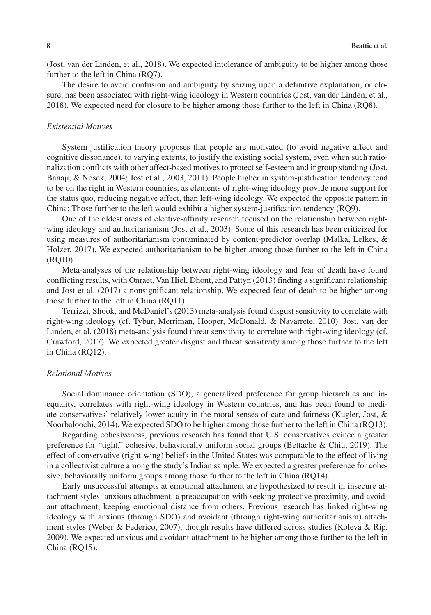(Jost, van der Linden, et al., 2018). We expected intolerance of ambiguity to be higher among those further to the left in China (RQ7).

The desire to avoid confusion and ambiguity by seizing upon a definitive explanation, or closure, has been associated with right-wing ideology in Western countries (Jost, van der Linden, et al., 2018). We expected need for closure to be higher among those further to the left in China (RQ8).

## *Existential Motives*

System justification theory proposes that people are motivated (to avoid negative affect and cognitive dissonance), to varying extents, to justify the existing social system, even when such rationalization conflicts with other affect-based motives to protect self-esteem and ingroup standing (Jost, Banaji, & Nosek, 2004; Jost et al., 2003, 2011). People higher in system-justification tendency tend to be on the right in Western countries, as elements of right-wing ideology provide more support for the status quo, reducing negative affect, than left-wing ideology. We expected the opposite pattern in China: Those further to the left would exhibit a higher system-justification tendency (RQ9).

One of the oldest areas of elective-affinity research focused on the relationship between rightwing ideology and authoritarianism (Jost et al., 2003). Some of this research has been criticized for using measures of authoritarianism contaminated by content-predictor overlap (Malka, Lelkes, & Holzer, 2017). We expected authoritarianism to be higher among those further to the left in China (RQ10).

Meta-analyses of the relationship between right-wing ideology and fear of death have found conflicting results, with Onraet, Van Hiel, Dhont, and Pattyn (2013) finding a significant relationship and Jost et al. (2017) a nonsignificant relationship. We expected fear of death to be higher among those further to the left in China (RQ11).

Terrizzi, Shook, and McDaniel's (2013) meta-analysis found disgust sensitivity to correlate with right-wing ideology (cf. Tybur, Merriman, Hooper, McDonald, & Navarrete, 2010). Jost, van der Linden, et al. (2018) meta-analysis found threat sensitivity to correlate with right-wing ideology (cf. Crawford, 2017). We expected greater disgust and threat sensitivity among those further to the left in China (RQ12).

## *Relational Motives*

Social dominance orientation (SDO), a generalized preference for group hierarchies and inequality, correlates with right-wing ideology in Western countries, and has been found to mediate conservatives' relatively lower acuity in the moral senses of care and fairness (Kugler, Jost, & Noorbaloochi, 2014). We expected SDO to be higher among those further to the left in China (RQ13).

Regarding cohesiveness, previous research has found that U.S. conservatives evince a greater preference for "tight," cohesive, behaviorally uniform social groups (Bettache & Chiu, 2019). The effect of conservative (right-wing) beliefs in the United States was comparable to the effect of living in a collectivist culture among the study's Indian sample. We expected a greater preference for cohesive, behaviorally uniform groups among those further to the left in China (RQ14).

Early unsuccessful attempts at emotional attachment are hypothesized to result in insecure attachment styles: anxious attachment, a preoccupation with seeking protective proximity, and avoidant attachment, keeping emotional distance from others. Previous research has linked right-wing ideology with anxious (through SDO) and avoidant (through right-wing authoritarianism) attachment styles (Weber & Federico, 2007), though results have differed across studies (Koleva & Rip, 2009). We expected anxious and avoidant attachment to be higher among those further to the left in China (RQ15).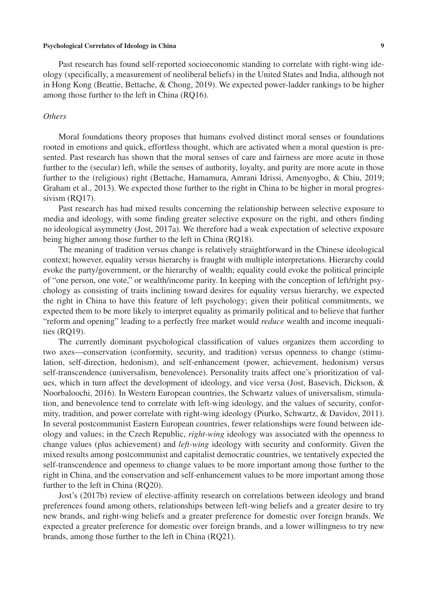Past research has found self-reported socioeconomic standing to correlate with right-wing ideology (specifically, a measurement of neoliberal beliefs) in the United States and India, although not in Hong Kong (Beattie, Bettache, & Chong, 2019). We expected power-ladder rankings to be higher among those further to the left in China (RQ16).

## *Others*

Moral foundations theory proposes that humans evolved distinct moral senses or foundations rooted in emotions and quick, effortless thought, which are activated when a moral question is presented. Past research has shown that the moral senses of care and fairness are more acute in those further to the (secular) left, while the senses of authority, loyalty, and purity are more acute in those further to the (religious) right (Bettache, Hamamura, Amrani Idrissi, Amenyogbo, & Chiu, 2019; Graham et al., 2013). We expected those further to the right in China to be higher in moral progressivism (RQ17).

Past research has had mixed results concerning the relationship between selective exposure to media and ideology, with some finding greater selective exposure on the right, and others finding no ideological asymmetry (Jost, 2017a). We therefore had a weak expectation of selective exposure being higher among those further to the left in China (RQ18).

The meaning of tradition versus change is relatively straightforward in the Chinese ideological context; however, equality versus hierarchy is fraught with multiple interpretations. Hierarchy could evoke the party/government, or the hierarchy of wealth; equality could evoke the political principle of "one person, one vote," or wealth/income parity. In keeping with the conception of left/right psychology as consisting of traits inclining toward desires for equality versus hierarchy, we expected the right in China to have this feature of left psychology; given their political commitments, we expected them to be more likely to interpret equality as primarily political and to believe that further "reform and opening" leading to a perfectly free market would *reduce* wealth and income inequalities (RQ19).

The currently dominant psychological classification of values organizes them according to two axes—conservation (conformity, security, and tradition) versus openness to change (stimulation, self-direction, hedonism), and self-enhancement (power, achievement, hedonism) versus self-transcendence (universalism, benevolence). Personality traits affect one's prioritization of values, which in turn affect the development of ideology, and vice versa (Jost, Basevich, Dickson, & Noorbaloochi, 2016). In Western European countries, the Schwartz values of universalism, stimulation, and benevolence tend to correlate with left-wing ideology, and the values of security, conformity, tradition, and power correlate with right-wing ideology (Piurko, Schwartz, & Davidov, 2011). In several postcommunist Eastern European countries, fewer relationships were found between ideology and values; in the Czech Republic, *right-wing* ideology was associated with the openness to change values (plus achievement) and *left-wing* ideology with security and conformity. Given the mixed results among postcommunist and capitalist democratic countries, we tentatively expected the self-transcendence and openness to change values to be more important among those further to the right in China, and the conservation and self-enhancement values to be more important among those further to the left in China (RQ20).

Jost's (2017b) review of elective-affinity research on correlations between ideology and brand preferences found among others, relationships between left-wing beliefs and a greater desire to try new brands, and right-wing beliefs and a greater preference for domestic over foreign brands. We expected a greater preference for domestic over foreign brands, and a lower willingness to try new brands, among those further to the left in China (RQ21).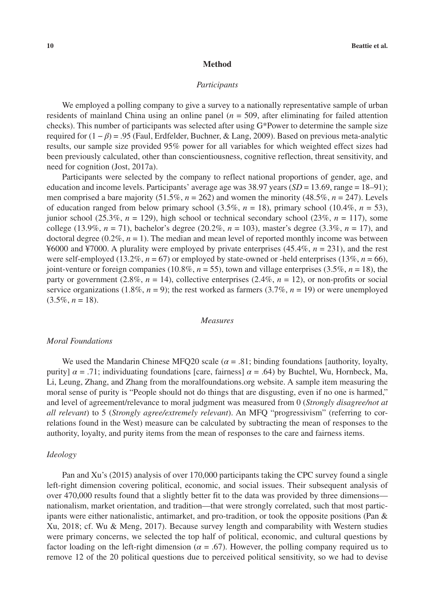#### **Method**

#### *Participants*

We employed a polling company to give a survey to a nationally representative sample of urban residents of mainland China using an online panel (*n* = 509, after eliminating for failed attention checks). This number of participants was selected after using G\*Power to determine the sample size required for (1 − *β*) = .95 (Faul, Erdfelder, Buchner, & Lang, 2009). Based on previous meta-analytic results, our sample size provided 95% power for all variables for which weighted effect sizes had been previously calculated, other than conscientiousness, cognitive reflection, threat sensitivity, and need for cognition (Jost, 2017a).

Participants were selected by the company to reflect national proportions of gender, age, and education and income levels. Participants' average age was 38.97 years (*SD* = 13.69, range = 18–91); men comprised a bare majority (51.5%, *n* = 262) and women the minority (48.5%, *n* = 247). Levels of education ranged from below primary school  $(3.5\%, n = 18)$ , primary school  $(10.4\%, n = 53)$ , junior school (25.3%, *n* = 129), high school or technical secondary school (23%, *n* = 117), some college (13.9%, *n* = 71), bachelor's degree (20.2%, *n* = 103), master's degree (3.3%, *n* = 17), and doctoral degree  $(0.2\%, n=1)$ . The median and mean level of reported monthly income was between ¥6000 and ¥7000. A plurality were employed by private enterprises (45.4%, *n* = 231), and the rest were self-employed (13.2%,  $n = 67$ ) or employed by state-owned or -held enterprises (13%,  $n = 66$ ), joint-venture or foreign companies (10.8%, *n* = 55), town and village enterprises (3.5%, *n* = 18), the party or government (2.8%,  $n = 14$ ), collective enterprises (2.4%,  $n = 12$ ), or non-profits or social service organizations (1.8%,  $n = 9$ ); the rest worked as farmers (3.7%,  $n = 19$ ) or were unemployed  $(3.5\%, n = 18).$ 

## *Measures*

#### *Moral Foundations*

We used the Mandarin Chinese MFQ20 scale ( $\alpha = .81$ ; binding foundations [authority, loyalty, purity]  $\alpha = .71$ ; individuating foundations [care, fairness]  $\alpha = .64$ ) by Buchtel, Wu, Hornbeck, Ma, Li, Leung, Zhang, and Zhang from the moralfoundations.org website. A sample item measuring the moral sense of purity is "People should not do things that are disgusting, even if no one is harmed," and level of agreement/relevance to moral judgment was measured from 0 (*Strongly disagree/not at all relevant*) to 5 (*Strongly agree/extremely relevant*). An MFQ "progressivism" (referring to correlations found in the West) measure can be calculated by subtracting the mean of responses to the authority, loyalty, and purity items from the mean of responses to the care and fairness items.

#### *Ideology*

Pan and Xu's (2015) analysis of over 170,000 participants taking the CPC survey found a single left-right dimension covering political, economic, and social issues. Their subsequent analysis of over 470,000 results found that a slightly better fit to the data was provided by three dimensions nationalism, market orientation, and tradition—that were strongly correlated, such that most participants were either nationalistic, antimarket, and pro-tradition, or took the opposite positions (Pan & Xu, 2018; cf. Wu & Meng, 2017). Because survey length and comparability with Western studies were primary concerns, we selected the top half of political, economic, and cultural questions by factor loading on the left-right dimension ( $\alpha$  = .67). However, the polling company required us to remove 12 of the 20 political questions due to perceived political sensitivity, so we had to devise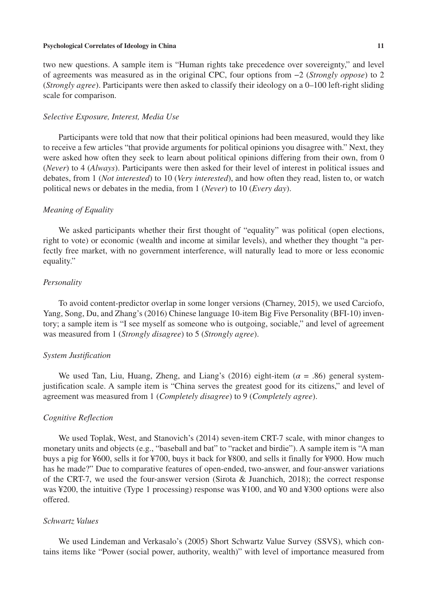two new questions. A sample item is "Human rights take precedence over sovereignty," and level of agreements was measured as in the original CPC, four options from −2 (*Strongly oppose*) to 2 (*Strongly agree*). Participants were then asked to classify their ideology on a 0–100 left-right sliding scale for comparison.

## *Selective Exposure, Interest, Media Use*

Participants were told that now that their political opinions had been measured, would they like to receive a few articles "that provide arguments for political opinions you disagree with." Next, they were asked how often they seek to learn about political opinions differing from their own, from 0 (*Never*) to 4 (*Always*). Participants were then asked for their level of interest in political issues and debates, from 1 (*Not interested*) to 10 (*Very interested*), and how often they read, listen to, or watch political news or debates in the media, from 1 (*Never*) to 10 (*Every day*).

## *Meaning of Equality*

We asked participants whether their first thought of "equality" was political (open elections, right to vote) or economic (wealth and income at similar levels), and whether they thought "a perfectly free market, with no government interference, will naturally lead to more or less economic equality."

## *Personality*

To avoid content-predictor overlap in some longer versions (Charney, 2015), we used Carciofo, Yang, Song, Du, and Zhang's (2016) Chinese language 10-item Big Five Personality (BFI-10) inventory; a sample item is "I see myself as someone who is outgoing, sociable," and level of agreement was measured from 1 (*Strongly disagree*) to 5 (*Strongly agree*).

## *System Justification*

We used Tan, Liu, Huang, Zheng, and Liang's (2016) eight-item  $(\alpha = .86)$  general systemjustification scale. A sample item is "China serves the greatest good for its citizens," and level of agreement was measured from 1 (*Completely disagree*) to 9 (*Completely agree*).

## *Cognitive Reflection*

We used Toplak, West, and Stanovich's (2014) seven-item CRT-7 scale, with minor changes to monetary units and objects (e.g., "baseball and bat" to "racket and birdie"). A sample item is "A man buys a pig for ¥600, sells it for ¥700, buys it back for ¥800, and sells it finally for ¥900. How much has he made?" Due to comparative features of open-ended, two-answer, and four-answer variations of the CRT-7, we used the four-answer version (Sirota & Juanchich, 2018); the correct response was ¥200, the intuitive (Type 1 processing) response was ¥100, and ¥0 and ¥300 options were also offered.

## *Schwartz Values*

We used Lindeman and Verkasalo's (2005) Short Schwartz Value Survey (SSVS), which contains items like "Power (social power, authority, wealth)" with level of importance measured from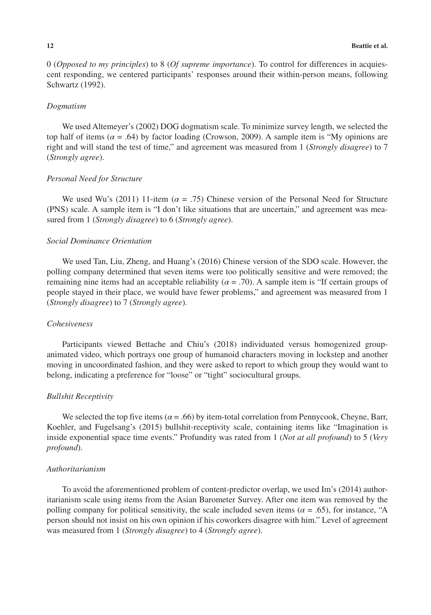0 (*Opposed to my principles*) to 8 (*Of supreme importance*). To control for differences in acquiescent responding, we centered participants' responses around their within-person means, following Schwartz (1992).

## *Dogmatism*

We used Altemeyer's (2002) DOG dogmatism scale. To minimize survey length, we selected the top half of items ( $\alpha$  = .64) by factor loading (Crowson, 2009). A sample item is "My opinions are right and will stand the test of time," and agreement was measured from 1 (*Strongly disagree*) to 7 (*Strongly agree*).

## *Personal Need for Structure*

We used Wu's (2011) 11-item ( $\alpha$  = .75) Chinese version of the Personal Need for Structure (PNS) scale. A sample item is "I don't like situations that are uncertain," and agreement was measured from 1 (*Strongly disagree*) to 6 (*Strongly agree*).

## *Social Dominance Orientation*

We used Tan, Liu, Zheng, and Huang's (2016) Chinese version of the SDO scale. However, the polling company determined that seven items were too politically sensitive and were removed; the remaining nine items had an acceptable reliability ( $\alpha$  = .70). A sample item is "If certain groups of people stayed in their place, we would have fewer problems," and agreement was measured from 1 (*Strongly disagree*) to 7 (*Strongly agree*).

## *Cohesiveness*

Participants viewed Bettache and Chiu's (2018) individuated versus homogenized groupanimated video, which portrays one group of humanoid characters moving in lockstep and another moving in uncoordinated fashion, and they were asked to report to which group they would want to belong, indicating a preference for "loose" or "tight" sociocultural groups.

## *Bullshit Receptivity*

We selected the top five items ( $\alpha$  = .66) by item-total correlation from Pennycook, Cheyne, Barr, Koehler, and Fugelsang's (2015) bullshit-receptivity scale, containing items like "Imagination is inside exponential space time events." Profundity was rated from 1 (*Not at all profound*) to 5 (*Very profound*).

## *Authoritarianism*

To avoid the aforementioned problem of content-predictor overlap, we used Im's (2014) authoritarianism scale using items from the Asian Barometer Survey. After one item was removed by the polling company for political sensitivity, the scale included seven items ( $\alpha$  = .65), for instance, "A person should not insist on his own opinion if his coworkers disagree with him." Level of agreement was measured from 1 (*Strongly disagree*) to 4 (*Strongly agree*).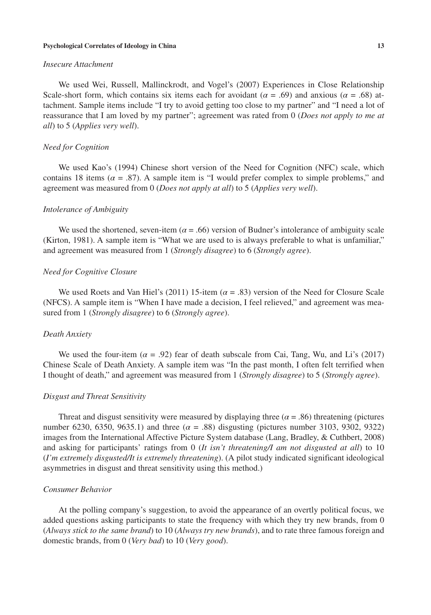### *Insecure Attachment*

We used Wei, Russell, Mallinckrodt, and Vogel's (2007) Experiences in Close Relationship Scale-short form, which contains six items each for avoidant ( $\alpha = .69$ ) and anxious ( $\alpha = .68$ ) attachment. Sample items include "I try to avoid getting too close to my partner" and "I need a lot of reassurance that I am loved by my partner"; agreement was rated from 0 (*Does not apply to me at all*) to 5 (*Applies very well*).

## *Need for Cognition*

We used Kao's (1994) Chinese short version of the Need for Cognition (NFC) scale, which contains 18 items ( $\alpha$  = .87). A sample item is "I would prefer complex to simple problems," and agreement was measured from 0 (*Does not apply at all*) to 5 (*Applies very well*).

## *Intolerance of Ambiguity*

We used the shortened, seven-item ( $\alpha$  = .66) version of Budner's intolerance of ambiguity scale (Kirton, 1981). A sample item is "What we are used to is always preferable to what is unfamiliar," and agreement was measured from 1 (*Strongly disagree*) to 6 (*Strongly agree*).

## *Need for Cognitive Closure*

We used Roets and Van Hiel's (2011) 15-item (*α* = .83) version of the Need for Closure Scale (NFCS). A sample item is "When I have made a decision, I feel relieved," and agreement was measured from 1 (*Strongly disagree*) to 6 (*Strongly agree*).

## *Death Anxiety*

We used the four-item  $(a = .92)$  fear of death subscale from Cai, Tang, Wu, and Li's (2017) Chinese Scale of Death Anxiety. A sample item was "In the past month, I often felt terrified when I thought of death," and agreement was measured from 1 (*Strongly disagree*) to 5 (*Strongly agree*).

#### *Disgust and Threat Sensitivity*

Threat and disgust sensitivity were measured by displaying three ( $\alpha$  = .86) threatening (pictures number 6230, 6350, 9635.1) and three  $(a = .88)$  disgusting (pictures number 3103, 9302, 9322) images from the International Affective Picture System database (Lang, Bradley, & Cuthbert, 2008) and asking for participants' ratings from 0 (*It isn't threatening/I am not disgusted at all*) to 10 (*I'm extremely disgusted/It is extremely threatening*). (A pilot study indicated significant ideological asymmetries in disgust and threat sensitivity using this method.)

#### *Consumer Behavior*

At the polling company's suggestion, to avoid the appearance of an overtly political focus, we added questions asking participants to state the frequency with which they try new brands, from 0 (*Always stick to the same brand*) to 10 (*Always try new brands*), and to rate three famous foreign and domestic brands, from 0 (*Very bad*) to 10 (*Very good*).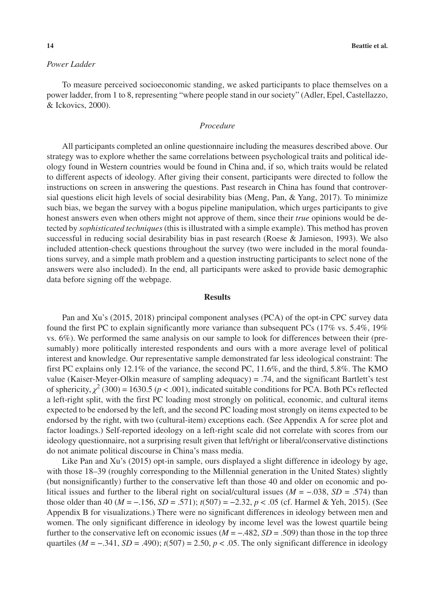## *Power Ladder*

To measure perceived socioeconomic standing, we asked participants to place themselves on a power ladder, from 1 to 8, representing "where people stand in our society" (Adler, Epel, Castellazzo, & Ickovics, 2000).

## *Procedure*

All participants completed an online questionnaire including the measures described above. Our strategy was to explore whether the same correlations between psychological traits and political ideology found in Western countries would be found in China and, if so, which traits would be related to different aspects of ideology. After giving their consent, participants were directed to follow the instructions on screen in answering the questions. Past research in China has found that controversial questions elicit high levels of social desirability bias (Meng, Pan, & Yang, 2017). To minimize such bias, we began the survey with a bogus pipeline manipulation, which urges participants to give honest answers even when others might not approve of them, since their *true* opinions would be detected by *sophisticated techniques* (this is illustrated with a simple example). This method has proven successful in reducing social desirability bias in past research (Roese & Jamieson, 1993). We also included attention-check questions throughout the survey (two were included in the moral foundations survey, and a simple math problem and a question instructing participants to select none of the answers were also included). In the end, all participants were asked to provide basic demographic data before signing off the webpage.

#### **Results**

Pan and Xu's (2015, 2018) principal component analyses (PCA) of the opt-in CPC survey data found the first PC to explain significantly more variance than subsequent PCs (17% vs. 5.4%, 19% vs. 6%). We performed the same analysis on our sample to look for differences between their (presumably) more politically interested respondents and ours with a more average level of political interest and knowledge. Our representative sample demonstrated far less ideological constraint: The first PC explains only 12.1% of the variance, the second PC, 11.6%, and the third, 5.8%. The KMO value (Kaiser-Meyer-Olkin measure of sampling adequacy) = .74, and the significant Bartlett's test of sphericity,  $\chi^2$  (300) = 1630.5 ( $p < .001$ ), indicated suitable conditions for PCA. Both PCs reflected a left-right split, with the first PC loading most strongly on political, economic, and cultural items expected to be endorsed by the left, and the second PC loading most strongly on items expected to be endorsed by the right, with two (cultural-item) exceptions each. (See Appendix A for scree plot and factor loadings.) Self-reported ideology on a left-right scale did not correlate with scores from our ideology questionnaire, not a surprising result given that left/right or liberal/conservative distinctions do not animate political discourse in China's mass media.

Like Pan and Xu's (2015) opt-in sample, ours displayed a slight difference in ideology by age, with those 18–39 (roughly corresponding to the Millennial generation in the United States) slightly (but nonsignificantly) further to the conservative left than those 40 and older on economic and political issues and further to the liberal right on social/cultural issues (*M* = −.038, *SD* = .574) than those older than 40 (*M* = −.156, *SD* = .571); *t*(507) = −2.32, *p* < .05 (cf. Harmel & Yeh, 2015). (See Appendix B for visualizations.) There were no significant differences in ideology between men and women. The only significant difference in ideology by income level was the lowest quartile being further to the conservative left on economic issues ( $M = -0.482$ ,  $SD = 0.509$ ) than those in the top three quartiles ( $M = -.341$ ,  $SD = .490$ );  $t(507) = 2.50$ ,  $p < .05$ . The only significant difference in ideology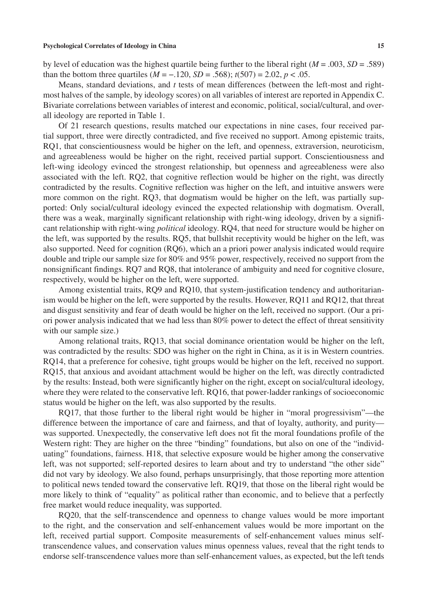by level of education was the highest quartile being further to the liberal right (*M* = .003, *SD* = .589) than the bottom three quartiles ( $M = -0.120$ ,  $SD = 0.568$ );  $t(507) = 2.02$ ,  $p < 0.05$ .

Means, standard deviations, and *t* tests of mean differences (between the left-most and rightmost halves of the sample, by ideology scores) on all variables of interest are reported in Appendix C. Bivariate correlations between variables of interest and economic, political, social/cultural, and overall ideology are reported in Table 1.

Of 21 research questions, results matched our expectations in nine cases, four received partial support, three were directly contradicted, and five received no support. Among epistemic traits, RQ1, that conscientiousness would be higher on the left, and openness, extraversion, neuroticism, and agreeableness would be higher on the right, received partial support. Conscientiousness and left-wing ideology evinced the strongest relationship, but openness and agreeableness were also associated with the left. RQ2, that cognitive reflection would be higher on the right, was directly contradicted by the results. Cognitive reflection was higher on the left, and intuitive answers were more common on the right. RQ3, that dogmatism would be higher on the left, was partially supported: Only social/cultural ideology evinced the expected relationship with dogmatism. Overall, there was a weak, marginally significant relationship with right-wing ideology, driven by a significant relationship with right-wing *political* ideology. RQ4, that need for structure would be higher on the left, was supported by the results. RQ5, that bullshit receptivity would be higher on the left, was also supported. Need for cognition (RQ6), which an a priori power analysis indicated would require double and triple our sample size for 80% and 95% power, respectively, received no support from the nonsignificant findings. RQ7 and RQ8, that intolerance of ambiguity and need for cognitive closure, respectively, would be higher on the left, were supported.

Among existential traits, RQ9 and RQ10, that system-justification tendency and authoritarianism would be higher on the left, were supported by the results. However, RQ11 and RQ12, that threat and disgust sensitivity and fear of death would be higher on the left, received no support. (Our a priori power analysis indicated that we had less than 80% power to detect the effect of threat sensitivity with our sample size.)

Among relational traits, RQ13, that social dominance orientation would be higher on the left, was contradicted by the results: SDO was higher on the right in China, as it is in Western countries. RQ14, that a preference for cohesive, tight groups would be higher on the left, received no support. RQ15, that anxious and avoidant attachment would be higher on the left, was directly contradicted by the results: Instead, both were significantly higher on the right, except on social/cultural ideology, where they were related to the conservative left. RQ16, that power-ladder rankings of socioeconomic status would be higher on the left, was also supported by the results.

RQ17, that those further to the liberal right would be higher in "moral progressivism"—the difference between the importance of care and fairness, and that of loyalty, authority, and purity was supported. Unexpectedly, the conservative left does not fit the moral foundations profile of the Western right: They are higher on the three "binding" foundations, but also on one of the "individuating" foundations, fairness. H18, that selective exposure would be higher among the conservative left, was not supported; self-reported desires to learn about and try to understand "the other side" did not vary by ideology. We also found, perhaps unsurprisingly, that those reporting more attention to political news tended toward the conservative left. RQ19, that those on the liberal right would be more likely to think of "equality" as political rather than economic, and to believe that a perfectly free market would reduce inequality, was supported.

RQ20, that the self-transcendence and openness to change values would be more important to the right, and the conservation and self-enhancement values would be more important on the left, received partial support. Composite measurements of self-enhancement values minus selftranscendence values, and conservation values minus openness values, reveal that the right tends to endorse self-transcendence values more than self-enhancement values, as expected, but the left tends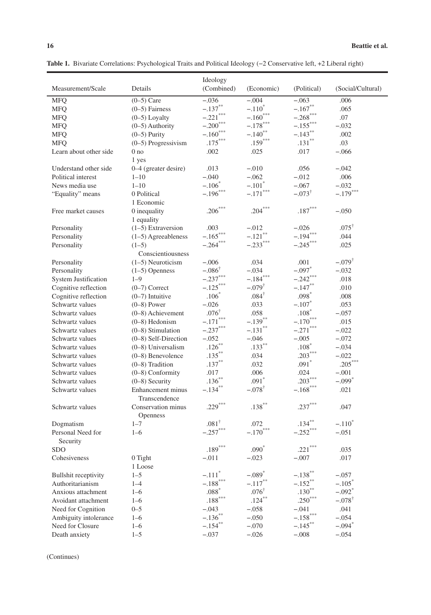|                             |                        | Ideology               |                       |                       |                      |
|-----------------------------|------------------------|------------------------|-----------------------|-----------------------|----------------------|
| Measurement/Scale           | Details                | (Combined)             | (Economic)            | (Political)           | (Social/Cultural)    |
| <b>MFQ</b>                  | $(0-5)$ Care           | $-.036$                | $-.004$               | $-.063$               | .006                 |
| <b>MFQ</b>                  | $(0-5)$ Fairness       | $-.137***$             | $-.110^*$             | $-.167**$             | .065                 |
| <b>MFQ</b>                  | $(0-5)$ Loyalty        | $-.221$ ***            | $-.160***$            | $-.268$ ***           | .07                  |
| <b>MFQ</b>                  | $(0-5)$ Authority      | $-.200***$             | $-.178***$            | $-.155***$            | $-.032$              |
| <b>MFQ</b>                  | $(0-5)$ Purity         | $-.160$ <sup>***</sup> | $-.140$ <sup>**</sup> | $-.143**$             | .002                 |
| <b>MFO</b>                  | $(0-5)$ Progressivism  | $.175***$              | $.159***$             | $.131^{\ast\ast}$     | .03                  |
| Learn about other side      | 0 <sub>no</sub>        | .002                   | .025                  | .017                  | $-.066$              |
|                             | 1 yes                  |                        |                       |                       |                      |
| Understand other side       | 0-4 (greater desire)   | .013                   | $-.010$               | .056                  | $-.042$              |
| Political interest          | $1 - 10$               | $-.040$                | $-.062$               | $-.012$               | .006                 |
| News media use              | $1 - 10$               | $-.106*$               | $-.101*$              | $-.067$               | $-.032$              |
| "Equality" means            | 0 Political            | $-.196***$             | $-.171$ ***           | $-.073^{\dagger}$     | $-.179***$           |
|                             | 1 Economic             |                        |                       |                       |                      |
| Free market causes          | 0 inequality           | $.206***$              | $.204***$             | $.187***$             | $-.050$              |
|                             | 1 equality             |                        |                       |                       |                      |
| Personality                 | $(1-5)$ Extraversion   | .003                   | $-.012$               | $-.026$               | $.075^{\dagger}$     |
| Personality                 | $(1-5)$ Agreeableness  | $-.165***$             | $-.121$ **            | $-.194***$            | .044                 |
| Personality                 | $(1-5)$                | $-.264***$             | $-.233***$            | $-.245***$            | .025                 |
|                             | Conscientiousness      |                        |                       |                       |                      |
| Personality                 | $(1-5)$ Neuroticism    | $-.006$                | .034                  | .001                  | $-.079^{\dagger}$    |
| Personality                 | $(1-5)$ Openness       | $-.086^{\dagger}$      | $-.034$               | $-.097*$              | $-.032$              |
| <b>System Justification</b> | $1 - 9$                | $-.237***$             | $-.184***$            | $-.242***$            | .018                 |
| Cognitive reflection        | $(0-7)$ Correct        | $-.125***$             | $-.079^{\dagger}$     | $-.147**$             | .010                 |
| Cognitive reflection        | $(0-7)$ Intuitive      | $.106*$                | $.084^{\dagger}$      | $.098*$               | .008                 |
| Schwartz values             | $(0-8)$ Power          | $-.026$                | .033                  | $-.107*$              | .053                 |
| Schwartz values             | (0-8) Achievement      | $.076^{\dagger}$       | .058                  | $.108*$               | $-.057$              |
| Schwartz values             | $(0-8)$ Hedonism       | $-.171$ ***            | $-.139$ <sup>**</sup> | $-.170$ ***           | .015                 |
| Schwartz values             | $(0-8)$ Stimulation    | $-.237***$             | $-.131***$            | $-.271$ ***           | $-.022$              |
| Schwartz values             | $(0-8)$ Self-Direction | $-.052$                | $-.046$               | $-.005$               | $-.072$              |
| Schwartz values             | $(0-8)$ Universalism   | $.126***$              | $.133***$             | $.108*$               | $-.034$              |
| Schwartz values             | (0-8) Benevolence      | $.135***$              | .034                  | $.203***$             | $-.022$              |
| Schwartz values             | $(0-8)$ Tradition      | $.137^{\ast\ast}$      | .032                  | $.091*$               | $.205***$            |
| Schwartz values             | $(0-8)$ Conformity     | .017                   | .006                  | .024                  | $-.001$              |
| Schwartz values             | $(0-8)$ Security       | $.136***$              | $.091*$               | $.203***$             | $-.099*$             |
| Schwartz values             | Enhancement minus      | $-.134***$             | $-.078^{\dagger}$     | $-.168$ ***           | .021                 |
|                             | Transcendence          |                        |                       |                       |                      |
| Schwartz values             | Conservation minus     | $.229***$              | $.138***$             | $.237***$             | .047                 |
|                             | Openness               |                        |                       |                       |                      |
| Dogmatism                   | $1 - 7$                | $.081^{\dagger}$       | .072                  | $.134***$             | $-.110^*$            |
| Personal Need for           | $1 - 6$                | $-.257***$             | $-.170***$            | $-.252***$            | $-.051$              |
| Security                    |                        |                        |                       |                       |                      |
| <b>SDO</b>                  |                        | $.189***$              | $.090*$               | $.221***$             | .035                 |
| Cohesiveness                | 0 Tight                | $-.011$                | $-.023$               | $-.007$               | .017                 |
|                             | 1 Loose                |                        |                       |                       |                      |
| <b>Bullshit receptivity</b> | $1 - 5$                | $-.111*$               | $-.089*$              | $-.138***$            | $-.057$              |
| Authoritarianism            | $1 - 4$                | $-.188$ <sup>***</sup> | $-.117***$            | $-.152**$             | $-.105*$             |
| Anxious attachment          | $1 - 6$                | $.088^{\ast}$          | $.076^{\dagger}$      | $.130^{**}$           | $-.092$ <sup>*</sup> |
| Avoidant attachment         | $1 - 6$                | $.188***$              | $.124***$             | $.250***$             | $-.078^{\dagger}$    |
| Need for Cognition          | $0 - 5$                | $-.043$                | $-.058$               | $-.041$               | .041                 |
| Ambiguity intolerance       | $1 - 6$                | $-.136***$             | $-.050$               | $-.158$ ***           | $-.054$              |
| Need for Closure            | $1 - 6$                | $-.154**$              | $-.070$               | $-.145$ <sup>**</sup> | $-.094$ <sup>*</sup> |
| Death anxiety               | $1 - 5$                | $-.037$                | $-.026$               | $-.008$               | $-.054$              |

**Table 1.** Bivariate Correlations: Psychological Traits and Political Ideology (−2 Conservative left, +2 Liberal right)

(Continues)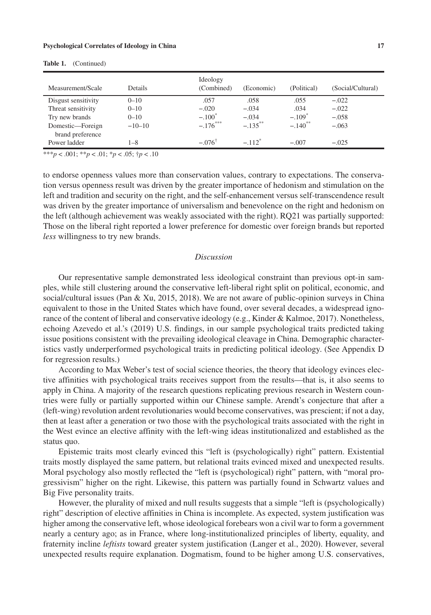| Measurement/Scale                    | <b>Details</b> | Ideology<br>(Combined) | (Economic)           | (Political)           | (Social/Cultural) |
|--------------------------------------|----------------|------------------------|----------------------|-----------------------|-------------------|
| Disgust sensitivity                  | $0 - 10$       | .057                   | .058                 | .055                  | $-.022$           |
| Threat sensitivity                   | $0 - 10$       | $-.020$                | $-.034$              | .034                  | $-.022$           |
| Try new brands                       | $0 - 10$       | $-.100^*$              | $-.034$              | $-.109$ <sup>*</sup>  | $-.058$           |
| Domestic-Foreign<br>brand preference | $-10-10$       | $-.176***$             | $-.135***$           | $-.140$ <sup>**</sup> | $-.063$           |
| Power ladder                         | 1–8            | $-076^{\dagger}$       | $-.112$ <sup>*</sup> | $-.007$               | $-.025$           |

**Table 1.** (Continued)

\*\*\**p* < .001; \*\**p* < .01; \**p* < .05; †*p* < .10

to endorse openness values more than conservation values, contrary to expectations. The conservation versus openness result was driven by the greater importance of hedonism and stimulation on the left and tradition and security on the right, and the self-enhancement versus self-transcendence result was driven by the greater importance of universalism and benevolence on the right and hedonism on the left (although achievement was weakly associated with the right). RQ21 was partially supported: Those on the liberal right reported a lower preference for domestic over foreign brands but reported *less* willingness to try new brands.

#### *Discussion*

Our representative sample demonstrated less ideological constraint than previous opt-in samples, while still clustering around the conservative left-liberal right split on political, economic, and social/cultural issues (Pan & Xu, 2015, 2018). We are not aware of public-opinion surveys in China equivalent to those in the United States which have found, over several decades, a widespread ignorance of the content of liberal and conservative ideology (e.g., Kinder & Kalmoe, 2017). Nonetheless, echoing Azevedo et al.'s (2019) U.S. findings, in our sample psychological traits predicted taking issue positions consistent with the prevailing ideological cleavage in China. Demographic characteristics vastly underperformed psychological traits in predicting political ideology. (See Appendix D for regression results.)

According to Max Weber's test of social science theories, the theory that ideology evinces elective affinities with psychological traits receives support from the results—that is, it also seems to apply in China. A majority of the research questions replicating previous research in Western countries were fully or partially supported within our Chinese sample. Arendt's conjecture that after a (left-wing) revolution ardent revolutionaries would become conservatives, was prescient; if not a day, then at least after a generation or two those with the psychological traits associated with the right in the West evince an elective affinity with the left-wing ideas institutionalized and established as the status quo.

Epistemic traits most clearly evinced this "left is (psychologically) right" pattern. Existential traits mostly displayed the same pattern, but relational traits evinced mixed and unexpected results. Moral psychology also mostly reflected the "left is (psychological) right" pattern, with "moral progressivism" higher on the right. Likewise, this pattern was partially found in Schwartz values and Big Five personality traits.

However, the plurality of mixed and null results suggests that a simple "left is (psychologically) right" description of elective affinities in China is incomplete. As expected, system justification was higher among the conservative left, whose ideological forebears won a civil war to form a government nearly a century ago; as in France, where long-institutionalized principles of liberty, equality, and fraternity incline *leftists* toward greater system justification (Langer et al., 2020). However, several unexpected results require explanation. Dogmatism, found to be higher among U.S. conservatives,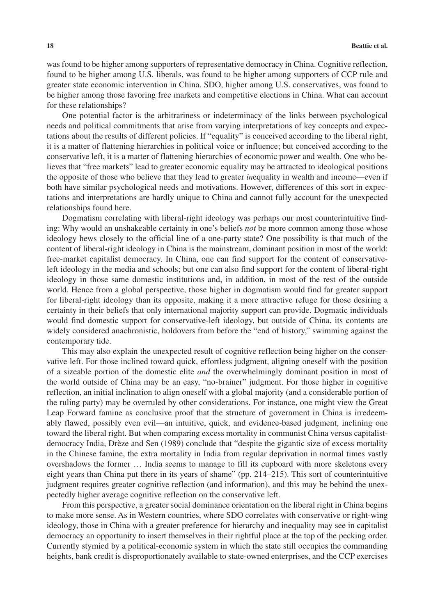was found to be higher among supporters of representative democracy in China. Cognitive reflection, found to be higher among U.S. liberals, was found to be higher among supporters of CCP rule and greater state economic intervention in China. SDO, higher among U.S. conservatives, was found to be higher among those favoring free markets and competitive elections in China. What can account for these relationships?

One potential factor is the arbitrariness or indeterminacy of the links between psychological needs and political commitments that arise from varying interpretations of key concepts and expectations about the results of different policies. If "equality" is conceived according to the liberal right, it is a matter of flattening hierarchies in political voice or influence; but conceived according to the conservative left, it is a matter of flattening hierarchies of economic power and wealth. One who believes that "free markets" lead to greater economic equality may be attracted to ideological positions the opposite of those who believe that they lead to greater *in*equality in wealth and income—even if both have similar psychological needs and motivations. However, differences of this sort in expectations and interpretations are hardly unique to China and cannot fully account for the unexpected relationships found here.

Dogmatism correlating with liberal-right ideology was perhaps our most counterintuitive finding: Why would an unshakeable certainty in one's beliefs *not* be more common among those whose ideology hews closely to the official line of a one-party state? One possibility is that much of the content of liberal-right ideology in China is the mainstream, dominant position in most of the world: free-market capitalist democracy. In China, one can find support for the content of conservativeleft ideology in the media and schools; but one can also find support for the content of liberal-right ideology in those same domestic institutions and, in addition, in most of the rest of the outside world. Hence from a global perspective, those higher in dogmatism would find far greater support for liberal-right ideology than its opposite, making it a more attractive refuge for those desiring a certainty in their beliefs that only international majority support can provide. Dogmatic individuals would find domestic support for conservative-left ideology, but outside of China, its contents are widely considered anachronistic, holdovers from before the "end of history," swimming against the contemporary tide.

This may also explain the unexpected result of cognitive reflection being higher on the conservative left. For those inclined toward quick, effortless judgment, aligning oneself with the position of a sizeable portion of the domestic elite *and* the overwhelmingly dominant position in most of the world outside of China may be an easy, "no-brainer" judgment. For those higher in cognitive reflection, an initial inclination to align oneself with a global majority (and a considerable portion of the ruling party) may be overruled by other considerations. For instance, one might view the Great Leap Forward famine as conclusive proof that the structure of government in China is irredeemably flawed, possibly even evil—an intuitive, quick, and evidence-based judgment, inclining one toward the liberal right. But when comparing excess mortality in communist China versus capitalistdemocracy India, Drèze and Sen (1989) conclude that "despite the gigantic size of excess mortality in the Chinese famine, the extra mortality in India from regular deprivation in normal times vastly overshadows the former … India seems to manage to fill its cupboard with more skeletons every eight years than China put there in its years of shame" (pp. 214–215). This sort of counterintuitive judgment requires greater cognitive reflection (and information), and this may be behind the unexpectedly higher average cognitive reflection on the conservative left.

From this perspective, a greater social dominance orientation on the liberal right in China begins to make more sense. As in Western countries, where SDO correlates with conservative or right-wing ideology, those in China with a greater preference for hierarchy and inequality may see in capitalist democracy an opportunity to insert themselves in their rightful place at the top of the pecking order. Currently stymied by a political-economic system in which the state still occupies the commanding heights, bank credit is disproportionately available to state-owned enterprises, and the CCP exercises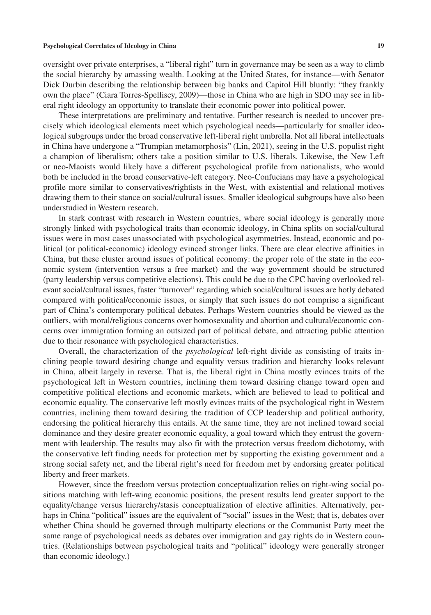oversight over private enterprises, a "liberal right" turn in governance may be seen as a way to climb the social hierarchy by amassing wealth. Looking at the United States, for instance—with Senator Dick Durbin describing the relationship between big banks and Capitol Hill bluntly: "they frankly own the place" (Ciara Torres-Spelliscy, 2009)—those in China who are high in SDO may see in liberal right ideology an opportunity to translate their economic power into political power.

These interpretations are preliminary and tentative. Further research is needed to uncover precisely which ideological elements meet which psychological needs—particularly for smaller ideological subgroups under the broad conservative left-liberal right umbrella. Not all liberal intellectuals in China have undergone a "Trumpian metamorphosis" (Lin, 2021), seeing in the U.S. populist right a champion of liberalism; others take a position similar to U.S. liberals. Likewise, the New Left or neo-Maoists would likely have a different psychological profile from nationalists, who would both be included in the broad conservative-left category. Neo-Confucians may have a psychological profile more similar to conservatives/rightists in the West, with existential and relational motives drawing them to their stance on social/cultural issues. Smaller ideological subgroups have also been understudied in Western research.

In stark contrast with research in Western countries, where social ideology is generally more strongly linked with psychological traits than economic ideology, in China splits on social/cultural issues were in most cases unassociated with psychological asymmetries. Instead, economic and political (or political-economic) ideology evinced stronger links. There are clear elective affinities in China, but these cluster around issues of political economy: the proper role of the state in the economic system (intervention versus a free market) and the way government should be structured (party leadership versus competitive elections). This could be due to the CPC having overlooked relevant social/cultural issues, faster "turnover" regarding which social/cultural issues are hotly debated compared with political/economic issues, or simply that such issues do not comprise a significant part of China's contemporary political debates. Perhaps Western countries should be viewed as the outliers, with moral/religious concerns over homosexuality and abortion and cultural/economic concerns over immigration forming an outsized part of political debate, and attracting public attention due to their resonance with psychological characteristics.

Overall, the characterization of the *psychological* left-right divide as consisting of traits inclining people toward desiring change and equality versus tradition and hierarchy looks relevant in China, albeit largely in reverse. That is, the liberal right in China mostly evinces traits of the psychological left in Western countries, inclining them toward desiring change toward open and competitive political elections and economic markets, which are believed to lead to political and economic equality. The conservative left mostly evinces traits of the psychological right in Western countries, inclining them toward desiring the tradition of CCP leadership and political authority, endorsing the political hierarchy this entails. At the same time, they are not inclined toward social dominance and they desire greater economic equality, a goal toward which they entrust the government with leadership. The results may also fit with the protection versus freedom dichotomy, with the conservative left finding needs for protection met by supporting the existing government and a strong social safety net, and the liberal right's need for freedom met by endorsing greater political liberty and freer markets.

However, since the freedom versus protection conceptualization relies on right-wing social positions matching with left-wing economic positions, the present results lend greater support to the equality/change versus hierarchy/stasis conceptualization of elective affinities. Alternatively, perhaps in China "political" issues are the equivalent of "social" issues in the West; that is, debates over whether China should be governed through multiparty elections or the Communist Party meet the same range of psychological needs as debates over immigration and gay rights do in Western countries. (Relationships between psychological traits and "political" ideology were generally stronger than economic ideology.)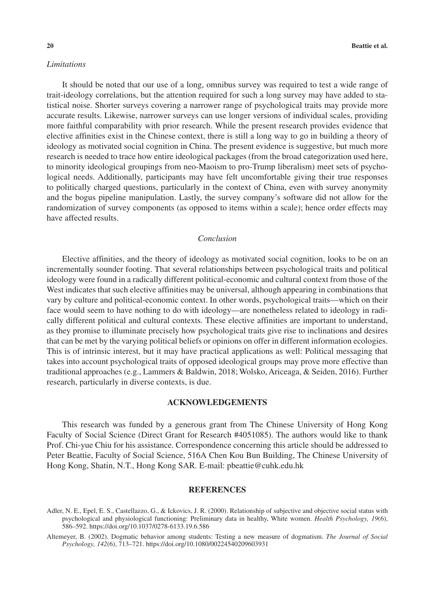## *Limitations*

It should be noted that our use of a long, omnibus survey was required to test a wide range of trait-ideology correlations, but the attention required for such a long survey may have added to statistical noise. Shorter surveys covering a narrower range of psychological traits may provide more accurate results. Likewise, narrower surveys can use longer versions of individual scales, providing more faithful comparability with prior research. While the present research provides evidence that elective affinities exist in the Chinese context, there is still a long way to go in building a theory of ideology as motivated social cognition in China. The present evidence is suggestive, but much more research is needed to trace how entire ideological packages (from the broad categorization used here, to minority ideological groupings from neo-Maoism to pro-Trump liberalism) meet sets of psychological needs. Additionally, participants may have felt uncomfortable giving their true responses to politically charged questions, particularly in the context of China, even with survey anonymity and the bogus pipeline manipulation. Lastly, the survey company's software did not allow for the randomization of survey components (as opposed to items within a scale); hence order effects may have affected results.

## *Conclusion*

Elective affinities, and the theory of ideology as motivated social cognition, looks to be on an incrementally sounder footing. That several relationships between psychological traits and political ideology were found in a radically different political-economic and cultural context from those of the West indicates that such elective affinities may be universal, although appearing in combinations that vary by culture and political-economic context. In other words, psychological traits—which on their face would seem to have nothing to do with ideology—are nonetheless related to ideology in radically different political and cultural contexts. These elective affinities are important to understand, as they promise to illuminate precisely how psychological traits give rise to inclinations and desires that can be met by the varying political beliefs or opinions on offer in different information ecologies. This is of intrinsic interest, but it may have practical applications as well: Political messaging that takes into account psychological traits of opposed ideological groups may prove more effective than traditional approaches (e.g., Lammers & Baldwin, 2018; Wolsko, Ariceaga, & Seiden, 2016). Further research, particularly in diverse contexts, is due.

## **ACKNOWLEDGEMENTS**

This research was funded by a generous grant from The Chinese University of Hong Kong Faculty of Social Science (Direct Grant for Research #4051085). The authors would like to thank Prof. Chi-yue Chiu for his assistance. Correspondence concerning this article should be addressed to Peter Beattie, Faculty of Social Science, 516A Chen Kou Bun Building, The Chinese University of Hong Kong, Shatin, N.T., Hong Kong SAR. E-mail: [pbeattie@cuhk.edu.hk](mailto:pbeattie@cuhk.edu.hk)

#### **REFERENCES**

Adler, N. E., Epel, E. S., Castellazzo, G., & Ickovics, J. R. (2000). Relationship of subjective and objective social status with psychological and physiological functioning: Preliminary data in healthy, White women. *Health Psychology, 19*(6), 586–592. <https://doi.org/10.1037/0278-6133.19.6.586>

Altemeyer, B. (2002). Dogmatic behavior among students: Testing a new measure of dogmatism. *The Journal of Social Psychology, 142*(6), 713–721. <https://doi.org/10.1080/00224540209603931>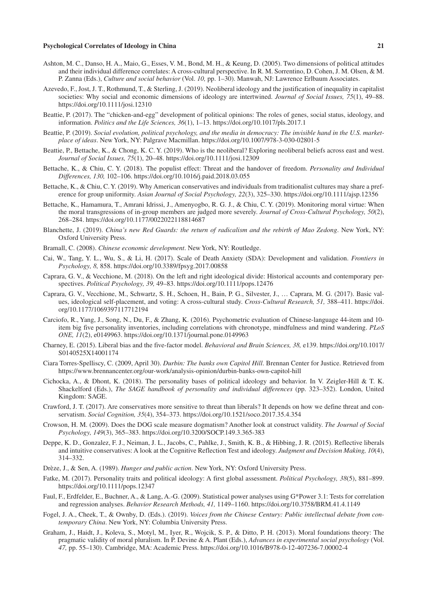- Ashton, M. C., Danso, H. A., Maio, G., Esses, V. M., Bond, M. H., & Keung, D. (2005). Two dimensions of political attitudes and their individual difference correlates: A cross-cultural perspective. In R. M. Sorrentino, D. Cohen, J. M. Olsen, & M. P. Zanna (Eds.), *Culture and social behavior* (Vol. *10,* pp. 1–30). Manwah, NJ: Lawrence Erlbaum Associates.
- Azevedo, F., Jost, J. T., Rothmund, T., & Sterling, J. (2019). Neoliberal ideology and the justification of inequality in capitalist societies: Why social and economic dimensions of ideology are intertwined. *Journal of Social Issues, 75*(1), 49–88. <https://doi.org/10.1111/josi.12310>
- Beattie, P. (2017). The "chicken-and-egg" development of political opinions: The roles of genes, social status, ideology, and information. *Politics and the Life Sciences, 36*(1), 1–13.<https://doi.org/10.1017/pls.2017.1>
- Beattie, P. (2019). *Social evolution, political psychology, and the media in democracy: The invisible hand in the U.S. marketplace of ideas*. New York, NY: Palgrave Macmillan. <https://doi.org/10.1007/978-3-030-02801-5>
- Beattie, P., Bettache, K., & Chong, K. C. Y. (2019). Who is the neoliberal? Exploring neoliberal beliefs across east and west. *Journal of Social Issues, 75*(1), 20–48.<https://doi.org/10.1111/josi.12309>
- Bettache, K., & Chiu, C. Y. (2018). The populist effect: Threat and the handover of freedom. *Personality and Individual Differences, 130,* 102–106. <https://doi.org/10.1016/j.paid.2018.03.055>
- Bettache, K., & Chiu, C. Y. (2019). Why American conservatives and individuals from traditionalist cultures may share a preference for group uniformity. *Asian Journal of Social Psychology, 22*(3), 325–330.<https://doi.org/10.1111/ajsp.12356>
- Bettache, K., Hamamura, T., Amrani Idrissi, J., Amenyogbo, R. G. J., & Chiu, C. Y. (2019). Monitoring moral virtue: When the moral transgressions of in-group members are judged more severely. *Journal of Cross-Cultural Psychology, 50*(2), 268–284.<https://doi.org/10.1177/0022022118814687>
- Blanchette, J. (2019). *China's new Red Guards: the return of radicalism and the rebirth of Mao Zedong*. New York, NY: Oxford University Press.
- Bramall, C. (2008). *Chinese economic development*. New York, NY: Routledge.
- Cai, W., Tang, Y. L., Wu, S., & Li, H. (2017). Scale of Death Anxiety (SDA): Development and validation. *Frontiers in Psychology, 8,* 858.<https://doi.org/10.3389/fpsyg.2017.00858>
- Caprara, G. V., & Vecchione, M. (2018). On the left and right ideological divide: Historical accounts and contemporary perspectives. *Political Psychology, 39,* 49–83. <https://doi.org/10.1111/pops.12476>
- Caprara, G. V., Vecchione, M., Schwartz, S. H., Schoen, H., Bain, P. G., Silvester, J., … Caprara, M. G. (2017). Basic values, ideological self-placement, and voting: A cross-cultural study. *Cross-Cultural Research, 51,* 388–411. [https://doi.](https://doi.org/10.1177/1069397117712194) [org/10.1177/1069397117712194](https://doi.org/10.1177/1069397117712194)
- Carciofo, R., Yang, J., Song, N., Du, F., & Zhang, K. (2016). Psychometric evaluation of Chinese-language 44-item and 10 item big five personality inventories, including correlations with chronotype, mindfulness and mind wandering. *PLoS ONE, 11*(2), e0149963.<https://doi.org/10.1371/journal.pone.0149963>
- Charney, E. (2015). Liberal bias and the five-factor model. *Behavioral and Brain Sciences, 38,* e139. [https://doi.org/10.1017/](https://doi.org/10.1017/S0140525X14001174) [S0140525X14001174](https://doi.org/10.1017/S0140525X14001174)
- Ciara Torres-Spelliscy, C. (2009, April 30). *Durbin: The banks own Capitol Hill*. Brennan Center for Justice. Retrieved from <https://www.brennancenter.org/our-work/analysis-opinion/durbin-banks-own-capitol-hill>
- Cichocka, A., & Dhont, K. (2018). The personality bases of political ideology and behavior. In V. Zeigler-Hill & T. K. Shackelford (Eds.), *The SAGE handbook of personality and individual differences* (pp. 323–352). London, United Kingdom: SAGE.
- Crawford, J. T. (2017). Are conservatives more sensitive to threat than liberals? It depends on how we define threat and conservatism. *Social Cognition, 35*(4), 354–373.<https://doi.org/10.1521/soco.2017.35.4.354>
- Crowson, H. M. (2009). Does the DOG scale measure dogmatism? Another look at construct validity. *The Journal of Social Psychology, 149*(3), 365–383.<https://doi.org/10.3200/SOCP.149.3.365-383>
- Deppe, K. D., Gonzalez, F. J., Neiman, J. L., Jacobs, C., Pahlke, J., Smith, K. B., & Hibbing, J. R. (2015). Reflective liberals and intuitive conservatives: A look at the Cognitive Reflection Test and ideology. *Judgment and Decision Making, 10*(4), 314–332.
- Drèze, J., & Sen, A. (1989). *Hunger and public action*. New York, NY: Oxford University Press.
- Fatke, M. (2017). Personality traits and political ideology: A first global assessment. *Political Psychology, 38*(5), 881–899. <https://doi.org/10.1111/pops.12347>
- Faul, F., Erdfelder, E., Buchner, A., & Lang, A.-G. (2009). Statistical power analyses using G\*Power 3.1: Tests for correlation and regression analyses. *Behavior Research Methods, 41,* 1149–1160.<https://doi.org/10.3758/BRM.41.4.1149>
- Fogel, J. A., Cheek, T., & Ownby, D. (Eds.). (2019). *Voices from the Chinese Century: Public intellectual debate from contemporary China*. New York, NY: Columbia University Press.
- Graham, J., Haidt, J., Koleva, S., Motyl, M., Iyer, R., Wojcik, S. P., & Ditto, P. H. (2013). Moral foundations theory: The pragmatic validity of moral pluralism. In P. Devine & A. Plant (Eds.), *Advances in experimental social psychology* (Vol. *47,* pp. 55–130). Cambridge, MA: Academic Press. <https://doi.org/10.1016/B978-0-12-407236-7.00002-4>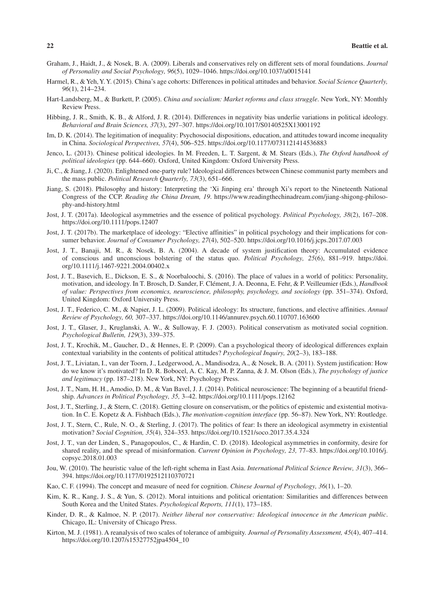- Graham, J., Haidt, J., & Nosek, B. A. (2009). Liberals and conservatives rely on different sets of moral foundations. *Journal of Personality and Social Psychology, 96*(5), 1029–1046.<https://doi.org/10.1037/a0015141>
- Harmel, R., & Yeh, Y. Y. (2015). China's age cohorts: Differences in political attitudes and behavior. *Social Science Quarterly, 96*(1), 214–234.
- Hart-Landsberg, M., & Burkett, P. (2005). *China and socialism: Market reforms and class struggle*. New York, NY: Monthly Review Press.
- Hibbing, J. R., Smith, K. B., & Alford, J. R. (2014). Differences in negativity bias underlie variations in political ideology. *Behavioral and Brain Sciences, 37*(3), 297–307.<https://doi.org/10.1017/S0140525X13001192>
- Im, D. K. (2014). The legitimation of inequality: Psychosocial dispositions, education, and attitudes toward income inequality in China. *Sociological Perspectives, 57*(4), 506–525. <https://doi.org/10.1177/0731121414536883>
- Jenco, L. (2013). Chinese political ideologies. In M. Freeden, L. T. Sargent, & M. Stears (Eds.), *The Oxford handbook of political ideologies* (pp. 644–660). Oxford, United Kingdom: Oxford University Press.
- Ji, C., & Jiang, J. (2020). Enlightened one-party rule? Ideological differences between Chinese communist party members and the mass public. *Political Research Quarterly, 73*(3), 651–666.
- Jiang, S. (2018). Philosophy and history: Interpreting the 'Xi Jinping era' through Xi's report to the Nineteenth National Congress of the CCP. *Reading the China Dream, 19*. [https://www.readingthechinadream.com/jiang-shigong-philoso](https://www.readingthechinadream.com/jiang-shigong-philosophy-and-history.html)[phy-and-history.html](https://www.readingthechinadream.com/jiang-shigong-philosophy-and-history.html)
- Jost, J. T. (2017a). Ideological asymmetries and the essence of political psychology. *Political Psychology, 38*(2), 167–208. <https://doi.org/10.1111/pops.12407>
- Jost, J. T. (2017b). The marketplace of ideology: "Elective affinities" in political psychology and their implications for consumer behavior. *Journal of Consumer Psychology, 27*(4), 502–520.<https://doi.org/10.1016/j.jcps.2017.07.003>
- Jost, J. T., Banaji, M. R., & Nosek, B. A. (2004). A decade of system justification theory: Accumulated evidence of conscious and unconscious bolstering of the status quo. *Political Psychology, 25*(6), 881–919. [https://doi.](https://doi.org/10.1111/j.1467-9221.2004.00402.x) [org/10.1111/j.1467-9221.2004.00402.x](https://doi.org/10.1111/j.1467-9221.2004.00402.x)
- Jost, J. T., Basevich, E., Dickson, E. S., & Noorbaloochi, S. (2016). The place of values in a world of politics: Personality, motivation, and ideology. In T. Brosch, D. Sander, F. Clément, J. A. Deonna, E. Fehr, & P. Veilleumier (Eds.), *Handbook of value: Perspectives from economics, neuroscience, philosophy, psychology, and sociology* (pp. 351–374). Oxford, United Kingdom: Oxford University Press.
- Jost, J. T., Federico, C. M., & Napier, J. L. (2009). Political ideology: Its structure, functions, and elective affinities. *Annual Review of Psychology, 60,* 307–337.<https://doi.org/10.1146/annurev.psych.60.110707.163600>
- Jost, J. T., Glaser, J., Kruglanski, A. W., & Sulloway, F. J. (2003). Political conservatism as motivated social cognition. *Psychological Bulletin, 129*(3), 339–375.
- Jost, J. T., Krochik, M., Gaucher, D., & Hennes, E. P. (2009). Can a psychological theory of ideological differences explain contextual variability in the contents of political attitudes? *Psychological Inquiry, 20*(2–3), 183–188.
- Jost, J. T., Liviatan, I., van der Toorn, J., Ledgerwood, A., Mandisodza, A., & Nosek, B. A. (2011). System justification: How do we know it's motivated? In D. R. Bobocel, A. C. Kay, M. P. Zanna, & J. M. Olson (Eds.), *The psychology of justice and legitimacy* (pp. 187–218). New York, NY: Psychology Press.
- Jost, J. T., Nam, H. H., Amodio, D. M., & Van Bavel, J. J. (2014). Political neuroscience: The beginning of a beautiful friendship. *Advances in Political Psychology, 35,* 3–42.<https://doi.org/10.1111/pops.12162>
- Jost, J. T., Sterling, J., & Stern, C. (2018). Getting closure on conservatism, or the politics of epistemic and existential motivation. In C. E. Kopetz & A. Fishbach (Eds.), *The motivation-cognition interface* (pp. 56–87). New York, NY: Routledge.
- Jost, J. T., Stern, C., Rule, N. O., & Sterling, J. (2017). The politics of fear: Is there an ideological asymmetry in existential motivation? *Social Cognition, 35*(4), 324–353. <https://doi.org/10.1521/soco.2017.35.4.324>
- Jost, J. T., van der Linden, S., Panagopoulos, C., & Hardin, C. D. (2018). Ideological asymmetries in conformity, desire for shared reality, and the spread of misinformation. *Current Opinion in Psychology, 23,* 77–83. [https://doi.org/10.1016/j.](https://doi.org/10.1016/j.copsyc.2018.01.003) [copsyc.2018.01.003](https://doi.org/10.1016/j.copsyc.2018.01.003)
- Jou, W. (2010). The heuristic value of the left-right schema in East Asia. *International Political Science Review, 31*(3), 366– 394. <https://doi.org/10.1177/0192512110370721>
- Kao, C. F. (1994). The concept and measure of need for cognition. *Chinese Journal of Psychology, 36*(1), 1–20.
- Kim, K. R., Kang, J. S., & Yun, S. (2012). Moral intuitions and political orientation: Similarities and differences between South Korea and the United States. *Psychological Reports, 111*(1), 173–185.
- Kinder, D. R., & Kalmoe, N. P. (2017). *Neither liberal nor conservative: Ideological innocence in the American public*. Chicago, IL: University of Chicago Press.
- Kirton, M. J. (1981). A reanalysis of two scales of tolerance of ambiguity. *Journal of Personality Assessment, 45*(4), 407–414. [https://doi.org/10.1207/s15327752jpa4504\\_10](https://doi.org/10.1207/s15327752jpa4504_10)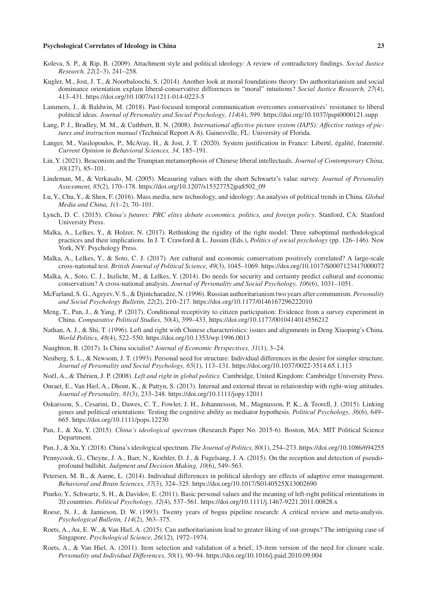- Koleva, S. P., & Rip, B. (2009). Attachment style and political ideology: A review of contradictory findings. *Social Justice Research, 22*(2–3), 241–258.
- Kugler, M., Jost, J. T., & Noorbaloochi, S. (2014). Another look at moral foundations theory: Do authoritarianism and social dominance orientation explain liberal-conservative differences in "moral" intuitions? *Social Justice Research, 27*(4), 413–431.<https://doi.org/10.1007/s11211-014-0223-5>
- Lammers, J., & Baldwin, M. (2018). Past-focused temporal communication overcomes conservatives' resistance to liberal political ideas. *Journal of Personality and Social Psychology, 114*(4), 599.<https://doi.org/10.1037/pspi0000121.supp>
- Lang, P. J., Bradley, M. M., & Cuthbert, B. N. (2008). *International affective picture system (IAPS): Affective ratings of pictures and instruction manual* (Technical Report A-8). Gainesville, FL: University of Florida.
- Langer, M., Vasilopoulos, P., McAvay, H., & Jost, J. T. (2020). System justification in France: Liberté, égalité, fraternité. *Current Opinion in Behavioral Sciences, 34,* 185–191.
- Lin, Y. (2021). Beaconism and the Trumpian metamorphosis of Chinese liberal intellectuals. *Journal of Contemporary China, 30*(127), 85–101.
- Lindeman, M., & Verkasalo, M. (2005). Measuring values with the short Schwartz's value survey. *Journal of Personality Assessment, 85*(2), 170–178. [https://doi.org/10.1207/s15327752jpa8502\\_09](https://doi.org/10.1207/s15327752jpa8502_09)
- Lu, Y., Chu, Y., & Shen, F. (2016). Mass media, new technology, and ideology: An analysis of political trends in China. *Global Media and China, 1*(1–2), 70–101.
- Lynch, D. C. (2015). *China's futures: PRC elites debate economics, politics, and foreign policy*. Stanford, CA: Stanford University Press.
- Malka, A., Lelkes, Y., & Holzer, N. (2017). Rethinking the rigidity of the right model: Three suboptimal methodological practices and their implications. In J. T. Crawford & L. Jussim (Eds.), *Politics of social psychology* (pp. 126–146). New York, NY: Psychology Press.
- Malka, A., Lelkes, Y., & Soto, C. J. (2017). Are cultural and economic conservatism positively correlated? A large-scale cross-national test. *British Journal of Political Science, 49*(3), 1045–1069.<https://doi.org/10.1017/S0007123417000072>
- Malka, A., Soto, C. J., Inzlicht, M., & Lelkes, Y. (2014). Do needs for security and certainty predict cultural and economic conservatism? A cross-national analysis. *Journal of Personality and Social Psychology, 106*(6), 1031–1051.
- McFarland, S. G., Ageyev, V. S., & Djintcharadze, N. (1996). Russian authoritarianism two years after communism. *Personality and Social Psychology Bulletin, 22*(2), 210–217. <https://doi.org/10.1177/0146167296222010>
- Meng, T., Pan, J., & Yang, P. (2017). Conditional receptivity to citizen participation: Evidence from a survey experiment in China. *Comparative Political Studies, 50*(4), 399–433. <https://doi.org/10.1177/0010414014556212>
- Nathan, A. J., & Shi, T. (1996). Left and right with Chinese characteristics: issues and alignments in Deng Xiaoping's China. *World Politics, 48*(4), 522–550. <https://doi.org/10.1353/wp.1996.0013>
- Naughton, B. (2017). Is China socialist? *Journal of Economic Perspectives, 31*(1), 3–24.
- Neuberg, S. L., & Newsom, J. T. (1993). Personal need for structure: Individual differences in the desire for simpler structure. *Journal of Personality and Social Psychology, 65*(1), 113–131.<https://doi.org/10.1037/0022-3514.65.1.113>
- Noël, A., & Thérien, J. P. (2008). *Left and right in global politics*. Cambridge, United Kingdom: Cambridge University Press.
- Onraet, E., Van Hiel, A., Dhont, K., & Pattyn, S. (2013). Internal and external threat in relationship with right-wing attitudes. *Journal of Personality, 81*(3), 233–248. <https://doi.org/10.1111/jopy.12011>
- Oskarsson, S., Cesarini, D., Dawes, C. T., Fowler, J. H., Johannesson, M., Magnusson, P. K., & Teorell, J. (2015). Linking genes and political orientations: Testing the cognitive ability as mediator hypothesis. *Political Psychology, 36*(6), 649– 665.<https://doi.org/10.1111/pops.12230>
- Pan, J., & Xu, Y. (2015). *China's ideological spectrum* (Research Paper No. 2015-6). Boston, MA: MIT Political Science Department.
- Pan, J., & Xu, Y. (2018). China's ideological spectrum. *The Journal of Politics, 80*(1), 254–273.<https://doi.org/10.1086/694255>
- Pennycook, G., Cheyne, J. A., Barr, N., Koehler, D. J., & Fugelsang, J. A. (2015). On the reception and detection of pseudoprofound bullshit. *Judgment and Decision Making, 10*(6), 549–563.
- Petersen, M. B., & Aarøe, L. (2014). Individual differences in political ideology are effects of adaptive error management. *Behavioral and Brain Sciences, 37*(3), 324–325. <https://doi.org/10.1017/S0140525X13002690>
- Piurko, Y., Schwartz, S. H., & Davidov, E. (2011). Basic personal values and the meaning of left-right political orientations in 20 countries. *Political Psychology, 32*(4), 537–561. <https://doi.org/10.1111/j.1467-9221.2011.00828.x>
- Roese, N. J., & Jamieson, D. W. (1993). Twenty years of bogus pipeline research: A critical review and meta-analysis. *Psychological Bulletin, 114*(2), 363–375.
- Roets, A., Au, E. W., & Van Hiel, A. (2015). Can authoritarianism lead to greater liking of out-groups? The intriguing case of Singapore. *Psychological Science, 26*(12), 1972–1974.
- Roets, A., & Van Hiel, A. (2011). Item selection and validation of a brief, 15-item version of the need for closure scale. *Personality and Individual Differences, 50*(1), 90–94.<https://doi.org/10.1016/j.paid.2010.09.004>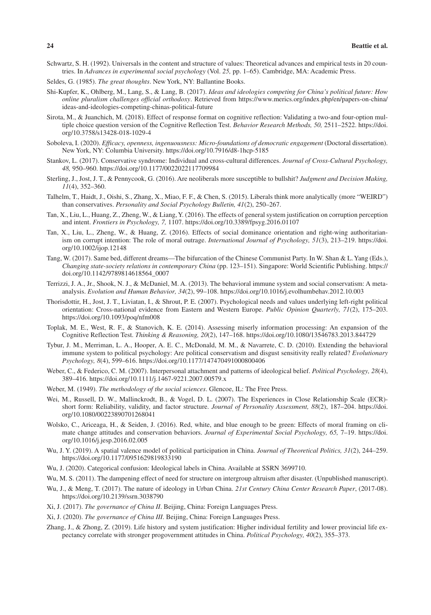- Schwartz, S. H. (1992). Universals in the content and structure of values: Theoretical advances and empirical tests in 20 countries. In *Advances in experimental social psychology* (Vol. *25,* pp. 1–65). Cambridge, MA: Academic Press.
- Seldes, G. (1985). *The great thoughts*. New York, NY: Ballantine Books.
- Shi-Kupfer, K., Ohlberg, M., Lang, S., & Lang, B. (2017). *Ideas and ideologies competing for China's political future: How online pluralism challenges official orthodoxy*. Retrieved from [https://www.merics.org/index.php/en/papers-on-china/](https://www.merics.org/index.php/en/papers-on-china/ideas-and-ideologies-competing-chinas-political-future) [ideas-and-ideologies-competing-chinas-political-future](https://www.merics.org/index.php/en/papers-on-china/ideas-and-ideologies-competing-chinas-political-future)
- Sirota, M., & Juanchich, M. (2018). Effect of response format on cognitive reflection: Validating a two-and four-option multiple choice question version of the Cognitive Reflection Test. *Behavior Research Methods, 50,* 2511–2522. [https://doi.](https://doi.org/10.3758/s13428-018-1029-4) [org/10.3758/s13428-018-1029-4](https://doi.org/10.3758/s13428-018-1029-4)
- Soboleva, I. (2020). *Efficacy, openness, ingenuousness: Micro-foundations of democratic engagement* (Doctoral dissertation). New York, NY: Columbia University. <https://doi.org/10.7916/d8-1hcp-5185>
- Stankov, L. (2017). Conservative syndrome: Individual and cross-cultural differences. *Journal of Cross-Cultural Psychology, 48,* 950–960. <https://doi.org/10.1177/0022022117709984>
- Sterling, J., Jost, J. T., & Pennycook, G. (2016). Are neoliberals more susceptible to bullshit? *Judgment and Decision Making, 11*(4), 352–360.
- Talhelm, T., Haidt, J., Oishi, S., Zhang, X., Miao, F. F., & Chen, S. (2015). Liberals think more analytically (more "WEIRD") than conservatives. *Personality and Social Psychology Bulletin, 41*(2), 250–267.
- Tan, X., Liu, L., Huang, Z., Zheng, W., & Liang, Y. (2016). The effects of general system justification on corruption perception and intent. *Frontiers in Psychology, 7,* 1107. <https://doi.org/10.3389/fpsyg.2016.01107>
- Tan, X., Liu, L., Zheng, W., & Huang, Z. (2016). Effects of social dominance orientation and right-wing authoritarianism on corrupt intention: The role of moral outrage. *International Journal of Psychology, 51*(3), 213–219. [https://doi.](https://doi.org/10.1002/ijop.12148) [org/10.1002/ijop.12148](https://doi.org/10.1002/ijop.12148)
- Tang, W. (2017). Same bed, different dreams—The bifurcation of the Chinese Communist Party. In W. Shan & L. Yang (Eds.), *Changing state-society relations in contemporary China* (pp. 123–151). Singapore: World Scientific Publishing. [https://](https://doi.org/10.1142/9789814618564_0007) [doi.org/10.1142/9789814618564\\_0007](https://doi.org/10.1142/9789814618564_0007)
- Terrizzi, J. A., Jr., Shook, N. J., & McDaniel, M. A. (2013). The behavioral immune system and social conservatism: A metaanalysis. *Evolution and Human Behavior, 34*(2), 99–108. <https://doi.org/10.1016/j.evolhumbehav.2012.10.003>
- Thorisdottir, H., Jost, J. T., Liviatan, I., & Shrout, P. E. (2007). Psychological needs and values underlying left-right political orientation: Cross-national evidence from Eastern and Western Europe. *Public Opinion Quarterly, 71*(2), 175–203. <https://doi.org/10.1093/poq/nfm008>
- Toplak, M. E., West, R. F., & Stanovich, K. E. (2014). Assessing miserly information processing: An expansion of the Cognitive Reflection Test. *Thinking & Reasoning, 20*(2), 147–168.<https://doi.org/10.1080/13546783.2013.844729>
- Tybur, J. M., Merriman, L. A., Hooper, A. E. C., McDonald, M. M., & Navarrete, C. D. (2010). Extending the behavioral immune system to political psychology: Are political conservatism and disgust sensitivity really related? *Evolutionary Psychology, 8*(4), 599–616. <https://doi.org/10.1177/147470491000800406>
- Weber, C., & Federico, C. M. (2007). Interpersonal attachment and patterns of ideological belief. *Political Psychology, 28*(4), 389–416. <https://doi.org/10.1111/j.1467-9221.2007.00579.x>
- Weber, M. (1949). *The methodology of the social sciences*. Glencoe, IL: The Free Press.
- Wei, M., Russell, D. W., Mallinckrodt, B., & Vogel, D. L. (2007). The Experiences in Close Relationship Scale (ECR) short form: Reliability, validity, and factor structure. *Journal of Personality Assessment, 88*(2), 187–204. [https://doi.](https://doi.org/10.1080/00223890701268041) [org/10.1080/00223890701268041](https://doi.org/10.1080/00223890701268041)
- Wolsko, C., Ariceaga, H., & Seiden, J. (2016). Red, white, and blue enough to be green: Effects of moral framing on climate change attitudes and conservation behaviors. *Journal of Experimental Social Psychology, 65,* 7–19. [https://doi.](https://doi.org/10.1016/j.jesp.2016.02.005) [org/10.1016/j.jesp.2016.02.005](https://doi.org/10.1016/j.jesp.2016.02.005)
- Wu, J. Y. (2019). A spatial valence model of political participation in China. *Journal of Theoretical Politics, 31*(2), 244–259. <https://doi.org/10.1177/0951629819833190>
- Wu, J. (2020). Categorical confusion: Ideological labels in China. Available at SSRN 3699710.
- Wu, M. S. (2011). The dampening effect of need for structure on intergroup altruism after disaster. (Unpublished manuscript).
- Wu, J., & Meng, T. (2017). The nature of ideology in Urban China. *21st Century China Center Research Paper*, (2017-08). <https://doi.org/10.2139/ssrn.3038790>
- Xi, J. (2017). *The governance of China II*. Beijing, China: Foreign Languages Press.
- Xi, J. (2020). *The governance of China III*. Beijing, China: Foreign Languages Press.
- Zhang, J., & Zhong, Z. (2019). Life history and system justification: Higher individual fertility and lower provincial life expectancy correlate with stronger progovernment attitudes in China. *Political Psychology, 40*(2), 355–373.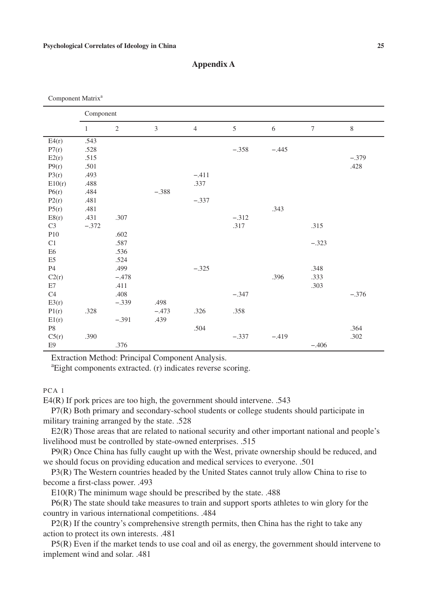Component Matrix<sup>a</sup>

| Сопіронені ічшина |              |                |                |                |         |         |                 |         |
|-------------------|--------------|----------------|----------------|----------------|---------|---------|-----------------|---------|
|                   | Component    |                |                |                |         |         |                 |         |
|                   | $\mathbf{1}$ | $\mathfrak{2}$ | $\mathfrak{Z}$ | $\overline{4}$ | 5       | 6       | $7\phantom{.0}$ | 8       |
| E4(r)             | .543         |                |                |                |         |         |                 |         |
| P7(r)             | .528         |                |                |                | $-.358$ | $-.445$ |                 |         |
| E2(r)             | .515         |                |                |                |         |         |                 | $-.379$ |
| P9(r)             | .501         |                |                |                |         |         |                 | .428    |
| P3(r)             | .493         |                |                | $-.411$        |         |         |                 |         |
| E10(r)            | .488         |                |                | .337           |         |         |                 |         |
| P6(r)             | .484         |                | $-.388$        |                |         |         |                 |         |
| P2(r)             | .481         |                |                | $-.337$        |         |         |                 |         |
| P5(r)             | .481         |                |                |                |         | .343    |                 |         |
| E8(r)             | .431         | .307           |                |                | $-.312$ |         |                 |         |
| C <sub>3</sub>    | $-.372$      |                |                |                | .317    |         | .315            |         |
| P10               |              | .602           |                |                |         |         |                 |         |
| C1                |              | .587           |                |                |         |         | $-.323$         |         |
| E <sub>6</sub>    |              | .536           |                |                |         |         |                 |         |
| E <sub>5</sub>    |              | .524           |                |                |         |         |                 |         |
| <b>P4</b>         |              | .499           |                | $-.325$        |         |         | .348            |         |
| C2(r)             |              | $-.478$        |                |                |         | .396    | .333            |         |
| E7                |              | .411           |                |                |         |         | .303            |         |
| C4                |              | .408           |                |                | $-.347$ |         |                 | $-.376$ |
| E3(r)             |              | $-.339$        | .498           |                |         |         |                 |         |
| P1(r)             | .328         |                | $-.473$        | .326           | .358    |         |                 |         |
| E1(r)             |              | $-.391$        | .439           |                |         |         |                 |         |
| $\mathbf{P8}$     |              |                |                | .504           |         |         |                 | .364    |
| C5(r)             | .390         |                |                |                | $-.337$ | $-.419$ |                 | .302    |
| E9                |              | .376           |                |                |         |         | $-.406$         |         |

## **Appendix A**

Extraction Method: Principal Component Analysis.

a Eight components extracted. (r) indicates reverse scoring.

PCA 1

E4(R) If pork prices are too high, the government should intervene. .543

P7(R) Both primary and secondary-school students or college students should participate in military training arranged by the state. .528

E2(R) Those areas that are related to national security and other important national and people's livelihood must be controlled by state-owned enterprises. .515

P9(R) Once China has fully caught up with the West, private ownership should be reduced, and we should focus on providing education and medical services to everyone. .501

P3(R) The Western countries headed by the United States cannot truly allow China to rise to become a first-class power. .493

E10(R) The minimum wage should be prescribed by the state. .488

P6(R) The state should take measures to train and support sports athletes to win glory for the country in various international competitions. .484

 $P2(R)$  If the country's comprehensive strength permits, then China has the right to take any action to protect its own interests. .481

P5(R) Even if the market tends to use coal and oil as energy, the government should intervene to implement wind and solar. .481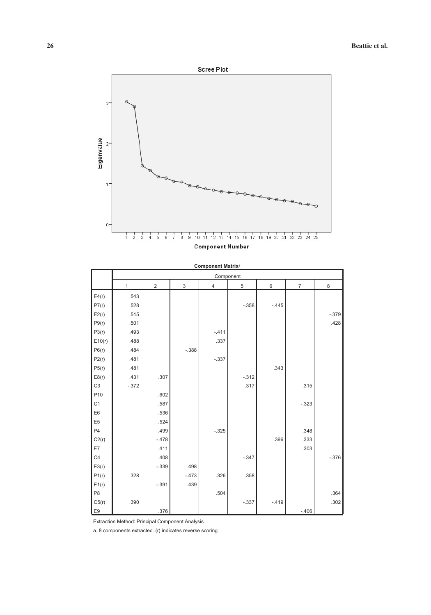

|                 |              |                |             | oomponent matrix<br>Component |         |         |                |         |
|-----------------|--------------|----------------|-------------|-------------------------------|---------|---------|----------------|---------|
|                 | $\mathbf{1}$ | $\overline{2}$ | $\mathsf 3$ | $\overline{4}$                | 5       | 6       | $\overline{7}$ | 8       |
| E4(r)           | .543         |                |             |                               |         |         |                |         |
| P7(r)           | .528         |                |             |                               | $-.358$ | $-.445$ |                |         |
| E2(r)           | .515         |                |             |                               |         |         |                | $-.379$ |
| P9(r)           | .501         |                |             |                               |         |         |                | .428    |
| P3(r)           | .493         |                |             | $-.411$                       |         |         |                |         |
| E10(r)          | .488         |                |             | .337                          |         |         |                |         |
| P6(r)           | .484         |                | $-.388$     |                               |         |         |                |         |
| P2(r)           | .481         |                |             | $-.337$                       |         |         |                |         |
| P5(r)           | .481         |                |             |                               |         | .343    |                |         |
| E8(r)           | .431         | .307           |             |                               | $-.312$ |         |                |         |
| C <sub>3</sub>  | $-.372$      |                |             |                               | .317    |         | .315           |         |
| P <sub>10</sub> |              | .602           |             |                               |         |         |                |         |
| C <sub>1</sub>  |              | .587           |             |                               |         |         | $-.323$        |         |
| E6              |              | .536           |             |                               |         |         |                |         |
| E <sub>5</sub>  |              | .524           |             |                               |         |         |                |         |
| P <sub>4</sub>  |              | .499           |             | $-.325$                       |         |         | .348           |         |
| C2(r)           |              | $-.478$        |             |                               |         | .396    | .333           |         |
| E7              |              | .411           |             |                               |         |         | .303           |         |
| C <sub>4</sub>  |              | .408           |             |                               | $-.347$ |         |                | $-.376$ |
| E3(r)           |              | $-.339$        | .498        |                               |         |         |                |         |
| P1(r)           | .328         |                | $-.473$     | .326                          | .358    |         |                |         |
| E1(r)           |              | $-.391$        | .439        |                               |         |         |                |         |
| P <sub>8</sub>  |              |                |             | .504                          |         |         |                | .364    |
| C5(r)           | .390         |                |             |                               | $-.337$ | $-.419$ |                | .302    |
| E <sub>9</sub>  |              | .376           |             |                               |         |         | $-.406$        |         |

**Component Matrixa**

Extraction Method: Principal Component Analysis.

a. 8 components extracted. (r) indicates reverse scoring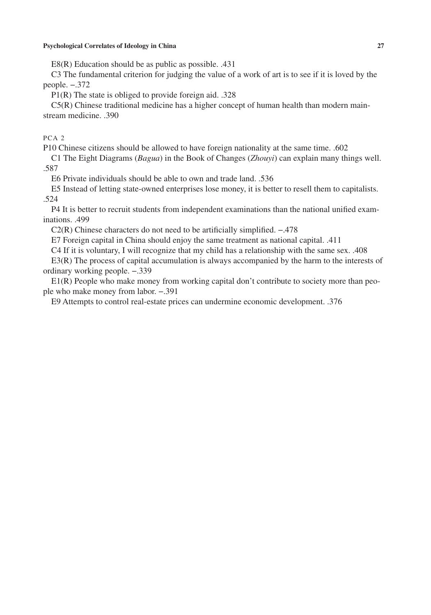E8(R) Education should be as public as possible. .431

C3 The fundamental criterion for judging the value of a work of art is to see if it is loved by the people. −.372

P1(R) The state is obliged to provide foreign aid. .328

C5(R) Chinese traditional medicine has a higher concept of human health than modern mainstream medicine. .390

## PCA 2

P10 Chinese citizens should be allowed to have foreign nationality at the same time. .602

C1 The Eight Diagrams (*Bagua*) in the Book of Changes (*Zhouyi*) can explain many things well. .587

E6 Private individuals should be able to own and trade land. .536

E5 Instead of letting state-owned enterprises lose money, it is better to resell them to capitalists. .524

P4 It is better to recruit students from independent examinations than the national unified examinations. .499

C2(R) Chinese characters do not need to be artificially simplified. −.478

E7 Foreign capital in China should enjoy the same treatment as national capital. .411

C4 If it is voluntary, I will recognize that my child has a relationship with the same sex. .408

E3(R) The process of capital accumulation is always accompanied by the harm to the interests of ordinary working people. −.339

E1(R) People who make money from working capital don't contribute to society more than people who make money from labor. −.391

E9 Attempts to control real-estate prices can undermine economic development. .376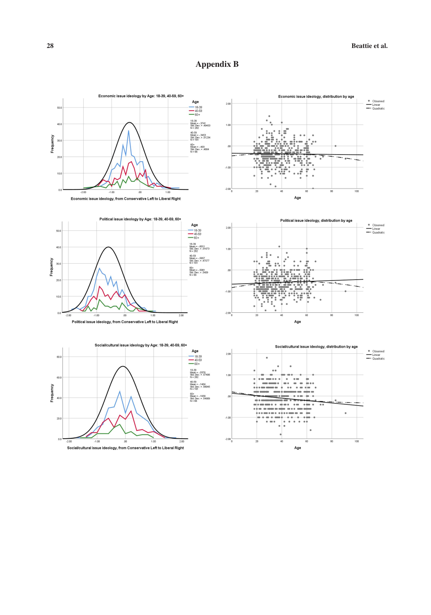## **Appendix B**











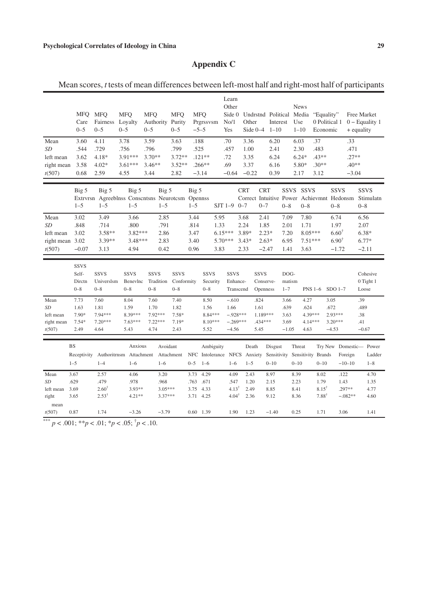## **Appendix C**

Mean scores, *t* tests of mean differences between left-most half and right-most half of participants

|                           | <b>MFO</b><br>Care<br>$0 - 5$             | <b>MFQ</b><br>Fairness<br>$0 - 5$    | <b>MFO</b><br>Loyalty<br>$0 - 5$                            | <b>MFO</b><br>Authority Purity<br>$0 - 5$ | <b>MFO</b><br>$0 - 5$                | <b>MFO</b><br>$-5-5$ | Prgrssvsm                          | Learn<br>Other<br>Side 0<br>No/1<br>Yes | Other            | Side $0-4$                           | Interest<br>$1 - 10$   |                           | <b>News</b><br>Undrstnd Political Media<br>Use<br>$1 - 10$ | "Equality"<br>0 Political 1<br>Economic |                                                          | Free Market<br>+ equality | $0$ – Equality 1                  |
|---------------------------|-------------------------------------------|--------------------------------------|-------------------------------------------------------------|-------------------------------------------|--------------------------------------|----------------------|------------------------------------|-----------------------------------------|------------------|--------------------------------------|------------------------|---------------------------|------------------------------------------------------------|-----------------------------------------|----------------------------------------------------------|---------------------------|-----------------------------------|
| Mean<br><b>SD</b>         | 3.60<br>.544                              | 4.11<br>.729                         | 3.78<br>.756                                                | 3.59<br>.796                              | 3.63<br>.799                         | .188<br>.525         |                                    | .70<br>.457                             | 3.36<br>1.00     |                                      | 6.20<br>2.41           |                           | 6.03<br>2.30                                               | .37<br>.483                             |                                                          | .33<br>.471               |                                   |
| left mean                 | 3.62                                      | $4.18*$                              | 3.91***                                                     | $3.70**$                                  | $3.72**$                             |                      | $.121**$                           | .72                                     | 3.35             |                                      | 6.24                   |                           | $6.24*$                                                    | $.43**$                                 |                                                          | $.27**$                   |                                   |
| right mean                | 3.58                                      | $4.02*$                              | $3.61***$                                                   | $3.46**$                                  | $3.52**$                             |                      | $.266**$                           | .69                                     | 3.37             |                                      | 6.16                   |                           | 5.80*                                                      | $.30**$                                 |                                                          | $.40**$                   |                                   |
| t(507)                    | 0.68                                      | 2.59                                 | 4.55                                                        | 3.44                                      | 2.82                                 |                      | $-3.14$                            | $-0.64$                                 | $-0.22$          |                                      | 0.39                   |                           | 2.17                                                       | 3.12                                    |                                                          | $-3.04$                   |                                   |
|                           |                                           |                                      |                                                             |                                           |                                      |                      |                                    |                                         |                  |                                      |                        |                           |                                                            |                                         |                                                          |                           |                                   |
|                           | Big 5                                     | Big 5                                | Big 5                                                       | Big 5                                     |                                      | Big 5                |                                    |                                         | <b>CRT</b>       | <b>CRT</b>                           |                        |                           | SSVS SSVS                                                  |                                         | <b>SSVS</b><br>Correct Intuitive Power Achievmnt Hedonsm |                           | <b>SSVS</b>                       |
|                           | $1 - 5$                                   | $1 - 5$                              | Extrvrsn Agreeblnss Conscntsns Neurotcsm Opennss<br>$1 - 5$ | $1 - 5$                                   |                                      | $1 - 5$              |                                    | $SJT$ 1-9                               | $0 - 7$          | $0 - 7$                              |                        | $0 - 8$                   | $0 - 8$                                                    |                                         | $0 - 8$                                                  |                           | Stimulatn<br>$0 - 8$              |
|                           |                                           |                                      |                                                             |                                           |                                      |                      |                                    |                                         |                  |                                      |                        |                           |                                                            |                                         |                                                          |                           |                                   |
| Mean                      | 3.02                                      | 3.49                                 | 3.66                                                        | 2.85                                      |                                      | 3.44                 | 5.95                               |                                         | 3.68             | 2.41                                 |                        | 7.09                      | 7.80                                                       |                                         | 6.74                                                     |                           | 6.56                              |
| SD                        | .848                                      | .714                                 | .800                                                        | .791                                      |                                      | .814                 | 1.33                               |                                         | 2.24             | 1.85                                 |                        | 2.01                      | 1.71                                                       |                                         | 1.97                                                     |                           | 2.07                              |
| left mean                 | 3.02                                      | $3.58**$                             | $3.82***$                                                   | 2.86                                      |                                      | 3.47                 | $6.15***$                          |                                         | 3.89*            |                                      | $2.23*$                | 7.20                      | $8.05***$                                                  |                                         | $6.60^{\dagger}$<br>$6.90^{\dagger}$                     |                           | $6.38*$                           |
| right mean 3.02<br>t(507) | $-0.07$                                   | 3.39**<br>3.13                       | $3.48***$<br>4.94                                           | 2.83<br>0.42                              |                                      | 3.40<br>0.96         | 3.83                               | 5.70***                                 | $3.43*$<br>2.33  |                                      | $2.63*$<br>$-2.47$     | 6.95<br>1.41              | $7.51***$<br>3.63                                          |                                         | $-1.72$                                                  |                           | $6.77*$<br>$-2.11$                |
|                           |                                           |                                      |                                                             |                                           |                                      |                      |                                    |                                         |                  |                                      |                        |                           |                                                            |                                         |                                                          |                           |                                   |
|                           | <b>SSVS</b><br>Self-<br>Dirctn<br>$0 - 8$ | <b>SSVS</b><br>Universlsm<br>$0 - 8$ | <b>SSVS</b><br>Benevlnc<br>$0 - 8$                          | <b>SSVS</b><br>Tradition<br>$0 - 8$       | <b>SSVS</b><br>Conformity<br>$0 - 8$ |                      | <b>SSVS</b><br>Security<br>$0 - 8$ | <b>SSVS</b><br>Enhance-                 | Transcend        | <b>SSVS</b><br>Conserve-<br>Openness |                        | DOG-<br>matism<br>$1 - 7$ |                                                            | <b>PNS 1-6</b>                          | $SDO$ 1-7                                                |                           | Cohesive<br>0 Tight 1<br>Loose    |
| Mean                      | 7.73                                      | 7.60                                 | 8.04                                                        | 7.60                                      | 7.40                                 |                      | 8.50                               | $-.610$                                 |                  | .824                                 |                        | 3.66                      | 4.27                                                       |                                         | 3.05                                                     | .39                       |                                   |
| <b>SD</b>                 | 1.63                                      | 1.81                                 | 1.59                                                        | 1.70                                      | 1.82                                 |                      | 1.56                               | 1.66                                    |                  | 1.61                                 |                        | .639                      | .624                                                       |                                         | .672                                                     |                           | .489                              |
| left mean                 | 7.90*                                     | 7.94 ***                             | 8.39***                                                     | 7.92***                                   | $7.58*$                              |                      | 8.84 ***                           | $-.928***$                              |                  | 1.189***                             |                        | 3.63                      | 4.39***                                                    |                                         | 2.93***                                                  | .38                       |                                   |
| right mean                | $7.54*$                                   | $7.20***$                            | $7.63***$                                                   | $7.22***$                                 | $7.19*$                              |                      | $8.10***$                          | $-.269***$                              |                  | .434***                              |                        | 3.69                      | 4.14***                                                    |                                         | $3.20***$                                                | .41                       |                                   |
| t(507)                    | 2.49                                      | 4.64                                 | 5.43                                                        | 4.74                                      | 2.43                                 |                      | 5.52                               | $-4.56$                                 |                  | 5.45                                 |                        | $-1.05$                   | 4.63                                                       |                                         | $-4.53$                                                  |                           | $-0.67$                           |
|                           | <b>BS</b><br>Receptivity                  |                                      | Anxious<br>Authoritrnsm Attachment Attachment               | Avoidant                                  |                                      | <b>NFC</b>           | Ambiguity<br>Intolerance NFCS      |                                         | Death<br>Anxiety |                                      | Disgust<br>Sensitivity |                           | Threat<br>Sensitivity Brands                               |                                         |                                                          | Foreign                   | Try New Domestic- Power<br>Ladder |
|                           | $1 - 5$                                   | $1 - 4$                              | $1 - 6$                                                     | $1 - 6$                                   |                                      | $0 - 5$              | $1 - 6$                            | $1 - 6$                                 | $1 - 5$          |                                      | $0 - 10$               |                           | $0 - 10$                                                   | $0 - 10$                                |                                                          | $-10-10$                  | $1 - 8$                           |
| Mean                      | 3.67                                      | 2.57                                 | 4.06                                                        | 3.20                                      |                                      | 3.73                 | 4.29                               | 4.09                                    | 2.43             |                                      | 8.97                   |                           | 8.39                                                       | 8.02                                    | .122                                                     |                           | 4.70                              |
| <b>SD</b>                 | .629                                      | .479                                 | .978                                                        | .968                                      |                                      | .763                 | .671                               | .547                                    | 1.20             |                                      | 2.15                   |                           | 2.23                                                       | 1.79                                    | 1.43                                                     |                           | 1.35                              |
| left mean                 | 3.69                                      | $2.60^{\dagger}$                     | 3.93**                                                      | $3.05***$                                 |                                      | 3.75                 | 4.33                               | $4.13$ <sup>1</sup>                     | 2.49             |                                      | 8.85                   |                           | 8.41                                                       | $8.15^{\dagger}$                        | $.297**$                                                 |                           | 4.77                              |
| right                     |                                           | $2.53^{\dagger}$                     | $4.21**$                                                    | 3.37***                                   |                                      | 3.71                 | 4.25                               | $4.04^{\dagger}$                        | 2.36             |                                      | 9.12                   |                           | 8.36                                                       | $7.88^{\dagger}$                        |                                                          | $-.082**$                 | 4.60                              |
|                           | 3.65                                      |                                      |                                                             |                                           |                                      |                      |                                    |                                         |                  |                                      |                        |                           |                                                            |                                         |                                                          |                           |                                   |

\*\*\*  $p < .001$ ; \*\* $p < .01$ ; \* $p < .05$ ;  $\dagger p < .10$ .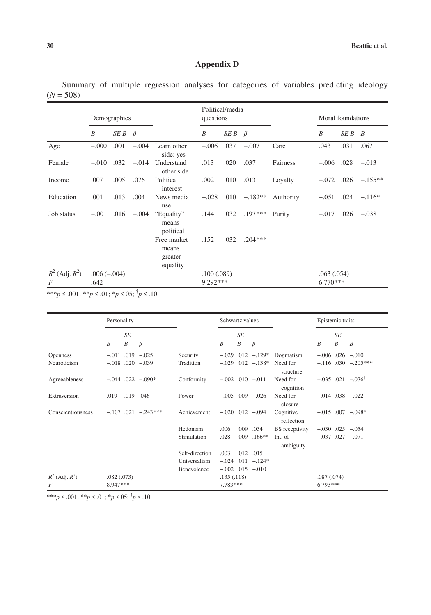## **Appendix D**

Summary of multiple regression analyses for categories of variables predicting ideology  $(N = 508)$ 

|                          | Demographics          |                   |         |                                             | Political/media<br>questions |                   |           |           | Moral foundations        |        |           |
|--------------------------|-----------------------|-------------------|---------|---------------------------------------------|------------------------------|-------------------|-----------|-----------|--------------------------|--------|-----------|
|                          | B                     | $SEB \quad \beta$ |         |                                             | B                            | $SEB \quad \beta$ |           |           | B                        | SE B B |           |
| Age                      | $-.000$               | .001              |         | $-.004$ Learn other<br>side: yes            | $-.006$                      | .037              | $-.007$   | Care      | .043                     | .031   | .067      |
| Female                   | $-.010$               | .032              | $-.014$ | Understand<br>other side                    | .013                         | .020              | .037      | Fairness  | $-.006$                  | .028   | $-.013$   |
| Income                   | .007                  | .005              | .076    | Political<br>interest                       | .002                         | .010              | .013      | Loyalty   | $-.072$                  | .026   | $-.155**$ |
| Education                | .001                  | .013              | .004    | News media<br>use                           | $-.028$                      | .010              | $-.182**$ | Authority | $-.051$ .024             |        | $-.116*$  |
| Job status               | $-.001$               | .016              | $-.004$ | "Equality"<br>means<br>political            | .144                         | .032              | $.197***$ | Purity    | $-.017$                  | .026   | $-.038$   |
|                          |                       |                   |         | Free market<br>means<br>greater<br>equality | .152                         | .032              | $.204***$ |           |                          |        |           |
| $R^2$ (Adj. $R^2$ )<br>F | $.006(-.004)$<br>.642 |                   |         |                                             | .100(.089)<br>9.292 ***      |                   |           |           | .063(.054)<br>$6.770***$ |        |           |

\*\*\**p* ≤ .001; \*\**p* ≤ .01; \**p* ≤ 05; † *p* ≤ .10.

|                     | Personality      |                               |                         |                | Schwartz values |         |                         |                         | Epistemic traits |                        |                                |
|---------------------|------------------|-------------------------------|-------------------------|----------------|-----------------|---------|-------------------------|-------------------------|------------------|------------------------|--------------------------------|
|                     | $\boldsymbol{B}$ | <b>SE</b><br>$\boldsymbol{B}$ | $\beta$                 |                | B               | SE<br>B | $\beta$                 |                         | $\boldsymbol{B}$ | SE<br>$\boldsymbol{B}$ | $\boldsymbol{B}$               |
| <b>Openness</b>     |                  |                               | $-.011$ .019 $-.025$    | Security       |                 |         | $-.029$ $.012$ $-.129*$ | Dogmatism               |                  |                        | $-.006$ .026 $-.010$           |
| Neuroticism         |                  |                               | $-.018$ .020 $-.039$    | Tradition      |                 |         | $-.029$ $.012$ $-.138*$ | Need for<br>structure   |                  |                        | $-.116$ .030 $-.205***$        |
| Agreeableness       |                  |                               | $-.044$ $.022$ $-.090*$ | Conformity     |                 |         | $-.002$ .010 $-.011$    | Need for<br>cognition   |                  |                        | $-.035$ .021 $-.076^{\dagger}$ |
| Extraversion        | .019             | .019 .046                     |                         | Power          |                 |         | $-.005$ .009 $-.026$    | Need for<br>closure     |                  |                        | $-.014$ .038 $-.022$           |
| Conscientiousness   |                  |                               | $-.107$ .021 $-.243***$ | Achievement    |                 |         | $-.020$ .012 $-.094$    | Cognitive<br>reflection |                  |                        | $-.015$ .007 $-.098*$          |
|                     |                  |                               |                         | Hedonism       | .006            |         | .009 .034               | BS receptivity          |                  |                        | $-.030$ $.025$ $-.054$         |
|                     |                  |                               |                         | Stimulation    | .028            |         | $.009$ $.166**$         | Int. of<br>ambiguity    |                  |                        | $-.037$ $.027$ $-.071$         |
|                     |                  |                               |                         | Self-direction | .003            |         | .012 .015               |                         |                  |                        |                                |
|                     |                  |                               |                         | Universalism   |                 |         | $-.024$ .011 $-.124*$   |                         |                  |                        |                                |
|                     |                  |                               |                         | Benevolence    |                 |         | $-.002$ .015 $-.010$    |                         |                  |                        |                                |
| $R^2$ (Adj. $R^2$ ) | .082(.073)       |                               |                         |                | .135(.118)      |         |                         |                         | .087(.074)       |                        |                                |
| F                   | 8.947***         |                               |                         |                | 7.783 ***       |         |                         |                         | $6.793***$       |                        |                                |

\*\*\**p* ≤ .001; \*\**p* ≤ .01; \**p* ≤ 05; † *p* ≤ .10.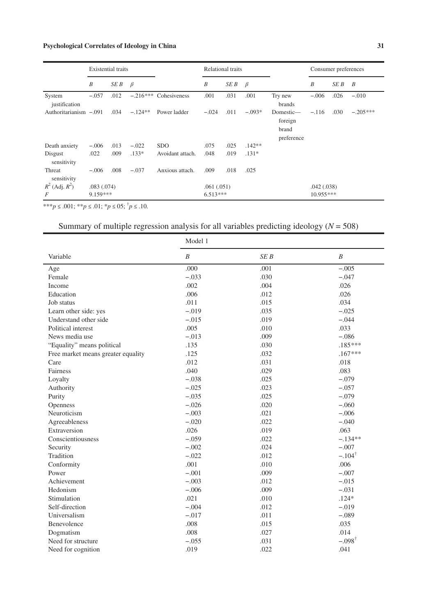|                         | <b>Existential</b> traits |            |            |                  | Relational traits |            |          | Consumer preferences                        |             |      |                |
|-------------------------|---------------------------|------------|------------|------------------|-------------------|------------|----------|---------------------------------------------|-------------|------|----------------|
|                         | B                         | SE B       | $\beta$    |                  | B                 | SE B       | $\beta$  |                                             | B           | SE B | $\overline{B}$ |
| System<br>justification | $-.057$                   | .012       | $-.216***$ | Cohesiveness     | .001              | .031       | .001     | Try new<br>brands                           | $-.006$     | .026 | $-.010$        |
| Authoritarianism -.091  |                           | .034       | $-.124**$  | Power ladder     | $-.024$           | .011       | $-.093*$ | Domestic-<br>foreign<br>brand<br>preference | $-.116$     | .030 | $-.205***$     |
| Death anxiety           | $-.006$                   | .013       | $-.022$    | <b>SDO</b>       | .075              | .025       | $.142**$ |                                             |             |      |                |
| Disgust<br>sensitivity  | .022                      | .009       | $.133*$    | Avoidant attach. | .048              | .019       | $.131*$  |                                             |             |      |                |
| Threat<br>sensitivity   | $-.006$                   | .008       | $-.037$    | Anxious attach.  | .009              | .018       | .025     |                                             |             |      |                |
| $R^2$ (Adj. $R^2$ )     |                           | .083(.074) |            |                  |                   | .061(.051) |          |                                             | .042(.038)  |      |                |
| F                       | 9.159***                  |            |            |                  | $6.513***$        |            |          |                                             | $10.955***$ |      |                |

\*\*\**p* ≤ .001; \*\**p* ≤ .01; \**p* ≤ 05; † *p* ≤ .10.

## Summary of multiple regression analysis for all variables predicting ideology (*N* = 508)

|                                    | Model 1          |      |                   |
|------------------------------------|------------------|------|-------------------|
| Variable                           | $\boldsymbol{B}$ | SE B | $\boldsymbol{B}$  |
| Age                                | .000             | .001 | $-.005$           |
| Female                             | $-.033$          | .030 | $-.047$           |
| Income                             | .002             | .004 | .026              |
| Education                          | .006             | .012 | .026              |
| Job status                         | .011             | .015 | .034              |
| Learn other side: yes              | $-.019$          | .035 | $-.025$           |
| Understand other side              | $-.015$          | .019 | $-.044$           |
| Political interest                 | .005             | .010 | .033              |
| News media use                     | $-.013$          | .009 | $-.086$           |
| "Equality" means political         | .135             | .030 | $.185***$         |
| Free market means greater equality | .125             | .032 | $.167***$         |
| Care                               | .012             | .031 | .018              |
| Fairness                           | .040             | .029 | .083              |
| Loyalty                            | $-.038$          | .025 | $-.079$           |
| Authority                          | $-.025$          | .023 | $-.057$           |
| Purity                             | $-.035$          | .025 | $-.079$           |
| Openness                           | $-.026$          | .020 | $-.060$           |
| Neuroticism                        | $-.003$          | .021 | $-.006$           |
| Agreeableness                      | $-.020$          | .022 | $-.040$           |
| Extraversion                       | .026             | .019 | .063              |
| Conscientiousness                  | $-.059$          | .022 | $-.134**$         |
| Security                           | $-.002$          | .024 | $-.007$           |
| Tradition                          | $-.022$          | .012 | $-.104^{\dagger}$ |
| Conformity                         | .001             | .010 | .006              |
| Power                              | $-.001$          | .009 | $-.007$           |
| Achievement                        | $-.003$          | .012 | $-.015$           |
| Hedonism                           | $-.006$          | .009 | $-.031$           |
| Stimulation                        | .021             | .010 | $.124*$           |
| Self-direction                     | $-.004$          | .012 | $-.019$           |
| Universalism                       | $-.017$          | .011 | $-.089$           |
| Benevolence                        | .008             | .015 | .035              |
| Dogmatism                          | .008             | .027 | .014              |
| Need for structure                 | $-.055$          | .031 | $-.098^{\dagger}$ |
| Need for cognition                 | .019             | .022 | .041              |